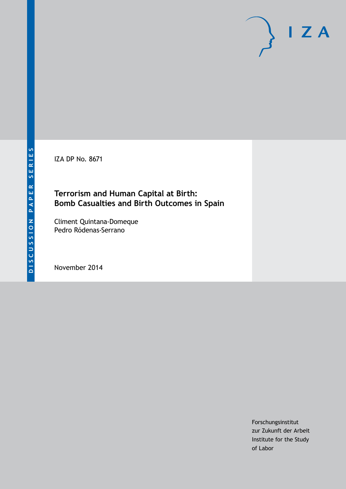IZA DP No. 8671

## **Terrorism and Human Capital at Birth: Bomb Casualties and Birth Outcomes in Spain**

Climent Quintana-Domeque Pedro Ródenas-Serrano

November 2014

Forschungsinstitut zur Zukunft der Arbeit Institute for the Study of Labor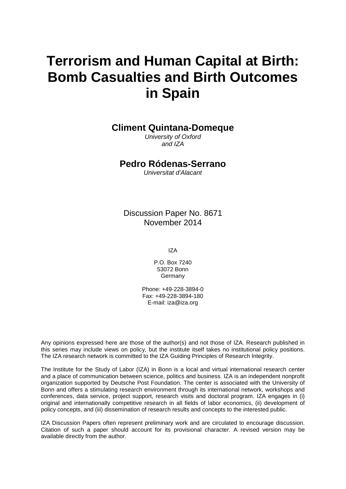# **Terrorism and Human Capital at Birth: Bomb Casualties and Birth Outcomes in Spain**

**Climent Quintana-Domeque**

*University of Oxford and IZA*

### **Pedro Ródenas-Serrano**

*Universitat d'Alacant*

Discussion Paper No. 8671 November 2014

IZA

P.O. Box 7240 53072 Bonn **Germany** 

Phone: +49-228-3894-0 Fax: +49-228-3894-180 E-mail: [iza@iza.org](mailto:iza@iza.org)

Any opinions expressed here are those of the author(s) and not those of IZA. Research published in this series may include views on policy, but the institute itself takes no institutional policy positions. The IZA research network is committed to the IZA Guiding Principles of Research Integrity.

The Institute for the Study of Labor (IZA) in Bonn is a local and virtual international research center and a place of communication between science, politics and business. IZA is an independent nonprofit organization supported by Deutsche Post Foundation. The center is associated with the University of Bonn and offers a stimulating research environment through its international network, workshops and conferences, data service, project support, research visits and doctoral program. IZA engages in (i) original and internationally competitive research in all fields of labor economics, (ii) development of policy concepts, and (iii) dissemination of research results and concepts to the interested public.

<span id="page-1-0"></span>IZA Discussion Papers often represent preliminary work and are circulated to encourage discussion. Citation of such a paper should account for its provisional character. A revised version may be available directly from the author.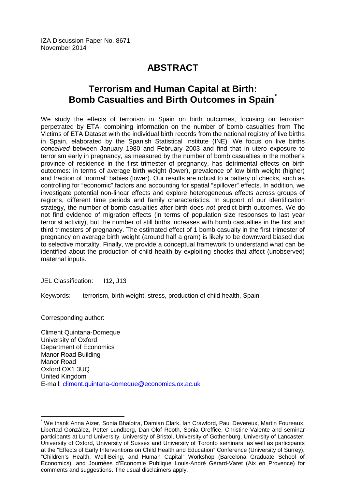## **ABSTRACT**

## **Terrorism and Human Capital at Birth: Bomb Casualties and Birth Outcomes in Spain[\\*](#page-1-0)**

We study the effects of terrorism in Spain on birth outcomes, focusing on terrorism perpetrated by ETA, combining information on the number of bomb casualties from The Victims of ETA Dataset with the individual birth records from the national registry of live births in Spain, elaborated by the Spanish Statistical Institute (INE). We focus on live births *conceived* between January 1980 and February 2003 and find that in utero exposure to terrorism early in pregnancy, as measured by the number of bomb casualties in the mother's province of residence in the first trimester of pregnancy, has detrimental effects on birth outcomes: in terms of average birth weight (lower), prevalence of low birth weight (higher) and fraction of "normal" babies (lower). Our results are robust to a battery of checks, such as controlling for "economic" factors and accounting for spatial "spillover" effects. In addition, we investigate potential non-linear effects and explore heterogeneous effects across groups of regions, different time periods and family characteristics. In support of our identification strategy, the number of bomb casualties after birth does *not* predict birth outcomes. We do not find evidence of migration effects (in terms of population size responses to last year terrorist activity), but the number of still births increases with bomb casualties in the first and third trimesters of pregnancy. The estimated effect of 1 bomb casualty in the first trimester of pregnancy on average birth weight (around half a gram) is likely to be downward biased due to selective mortality. Finally, we provide a conceptual framework to understand what can be identified about the production of child health by exploiting shocks that affect (unobserved) maternal inputs.

JEL Classification: I12, J13

Keywords: terrorism, birth weight, stress, production of child health, Spain

Corresponding author:

Climent Quintana-Domeque University of Oxford Department of Economics Manor Road Building Manor Road Oxford OX1 3UQ United Kingdom E-mail: [climent.quintana-domeque@economics.ox.ac.uk](mailto:climent.quintana-domeque@economics.ox.ac.uk)

\* We thank Anna Aizer, Sonia Bhalotra, Damian Clark, Ian Crawford, Paul Devereux, Martin Foureaux, Libertad González, Petter Lundborg, Dan-Olof Rooth, Sonia Oreffice, Christine Valente and seminar participants at Lund University, University of Bristol, University of Gothenburg, University of Lancaster, University of Oxford, University of Sussex and University of Toronto seminars, as well as participants at the "Effects of Early Interventions on Child Health and Education" Conference (University of Surrey), "Children's Health, Well-Being, and Human Capital" Workshop (Barcelona Graduate School of Economics), and Journées d'Economie Publique Louis-André Gérard-Varet (Aix en Provence) for comments and suggestions. The usual disclaimers apply.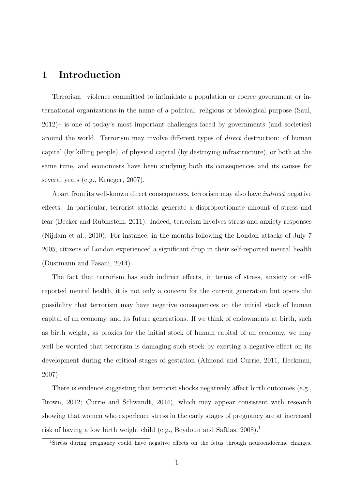## 1 Introduction

Terrorism –violence committed to intimidate a population or coerce government or international organizations in the name of a political, religious or ideological purpose (Saul, 2012)– is one of today's most important challenges faced by governments (and societies) around the world. Terrorism may involve different types of *direct* destruction: of human capital (by killing people), of physical capital (by destroying infrastructure), or both at the same time, and economists have been studying both its consequences and its causes for several years (e.g., Krueger, 2007).

Apart from its well-known direct consequences, terrorism may also have indirect negative effects. In particular, terrorist attacks generate a disproportionate amount of stress and fear (Becker and Rubinstein, 2011). Indeed, terrorism involves stress and anxiety responses (Nijdam et al., 2010). For instance, in the months following the London attacks of July 7 2005, citizens of London experienced a significant drop in their self-reported mental health (Dustmann and Fasani, 2014).

The fact that terrorism has such indirect effects, in terms of stress, anxiety or selfreported mental health, it is not only a concern for the current generation but opens the possibility that terrorism may have negative consequences on the initial stock of human capital of an economy, and its future generations. If we think of endowments at birth, such as birth weight, as proxies for the initial stock of human capital of an economy, we may well be worried that terrorism is damaging such stock by exerting a negative effect on its development during the critical stages of gestation (Almond and Currie, 2011, Heckman, 2007).

There is evidence suggesting that terrorist shocks negatively affect birth outcomes (e.g., Brown, 2012; Currie and Schwandt, 2014), which may appear consistent with research showing that women who experience stress in the early stages of pregnancy are at increased risk of having a low birth weight child (e.g., Beydoun and Saftlas,  $2008$ ).<sup>1</sup>

<sup>&</sup>lt;sup>1</sup>Stress during pregnancy could have negative effects on the fetus through neuroendocrine changes,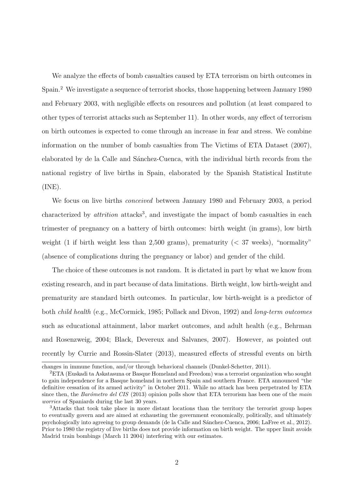We analyze the effects of bomb casualties caused by ETA terrorism on birth outcomes in Spain.<sup>2</sup> We investigate a sequence of terrorist shocks, those happening between January 1980 and February 2003, with negligible effects on resources and pollution (at least compared to other types of terrorist attacks such as September 11). In other words, any effect of terrorism on birth outcomes is expected to come through an increase in fear and stress. We combine information on the number of bomb casualties from The Victims of ETA Dataset (2007), elaborated by de la Calle and Sánchez-Cuenca, with the individual birth records from the national registry of live births in Spain, elaborated by the Spanish Statistical Institute (INE).

We focus on live births conceived between January 1980 and February 2003, a period characterized by *attrition* attacks<sup>3</sup>, and investigate the impact of bomb casualties in each trimester of pregnancy on a battery of birth outcomes: birth weight (in grams), low birth weight (1 if birth weight less than 2,500 grams), prematurity  $($   $\leq$  37 weeks), "normality" (absence of complications during the pregnancy or labor) and gender of the child.

The choice of these outcomes is not random. It is dictated in part by what we know from existing research, and in part because of data limitations. Birth weight, low birth-weight and prematurity are standard birth outcomes. In particular, low birth-weight is a predictor of both child health (e.g., McCormick, 1985; Pollack and Divon, 1992) and long-term outcomes such as educational attainment, labor market outcomes, and adult health (e.g., Behrman and Rosenzweig, 2004; Black, Devereux and Salvanes, 2007). However, as pointed out recently by Currie and Rossin-Slater (2013), measured effects of stressful events on birth

changes in immune function, and/or through behavioral channels (Dunkel-Schetter, 2011).

<sup>2</sup>ETA (Euskadi ta Askatasuna or Basque Homeland and Freedom) was a terrorist organization who sought to gain independence for a Basque homeland in northern Spain and southern France. ETA announced "the definitive cessation of its armed activity" in October 2011. While no attack has been perpetrated by ETA since then, the Barómetro del CIS (2013) opinion polls show that ETA terrorism has been one of the main worries of Spaniards during the last 30 years.

<sup>&</sup>lt;sup>3</sup>Attacks that took take place in more distant locations than the territory the terrorist group hopes to eventually govern and are aimed at exhausting the government economically, politically, and ultimately psychologically into agreeing to group demands (de la Calle and S´anchez-Cuenca, 2006; LaFree et al., 2012). Prior to 1980 the registry of live births does not provide information on birth weight. The upper limit avoids Madrid train bombings (March 11 2004) interfering with our estimates.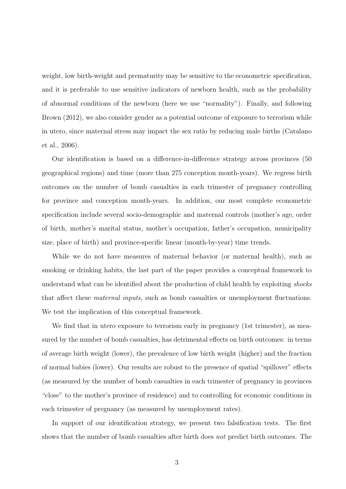weight, low birth-weight and prematurity may be sensitive to the econometric specification, and it is preferable to use sensitive indicators of newborn health, such as the probability of abnormal conditions of the newborn (here we use "normality"). Finally, and following Brown (2012), we also consider gender as a potential outcome of exposure to terrorism while in utero, since maternal stress may impact the sex ratio by reducing male births (Catalano et al., 2006).

Our identification is based on a difference-in-difference strategy across provinces (50 geographical regions) and time (more than 275 conception month-years). We regress birth outcomes on the number of bomb casualties in each trimester of pregnancy controlling for province and conception month-years. In addition, our most complete econometric specification include several socio-demographic and maternal controls (mother's age, order of birth, mother's marital status, mother's occupation, father's occupation, municipality size, place of birth) and province-specific linear (month-by-year) time trends.

While we do not have measures of maternal behavior (or maternal health), such as smoking or drinking habits, the last part of the paper provides a conceptual framework to understand what can be identified about the production of child health by exploiting shocks that affect these maternal inputs, such as bomb casualties or unemployment fluctuations. We test the implication of this conceptual framework.

We find that in utero exposure to terrorism early in pregnancy (1st trimester), as measured by the number of bomb casualties, has detrimental effects on birth outcomes: in terms of average birth weight (lower), the prevalence of low birth weight (higher) and the fraction of normal babies (lower). Our results are robust to the presence of spatial "spillover" effects (as measured by the number of bomb casualties in each trimester of pregnancy in provinces "close" to the mother's province of residence) and to controlling for economic conditions in each trimester of pregnancy (as measured by unemployment rates).

In support of our identification strategy, we present two falsification tests. The first shows that the number of bomb casualties after birth does not predict birth outcomes. The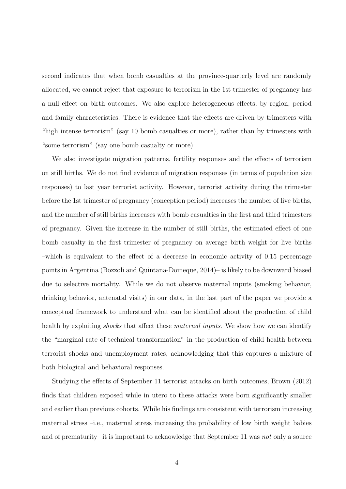second indicates that when bomb casualties at the province-quarterly level are randomly allocated, we cannot reject that exposure to terrorism in the 1st trimester of pregnancy has a null effect on birth outcomes. We also explore heterogeneous effects, by region, period and family characteristics. There is evidence that the effects are driven by trimesters with "high intense terrorism" (say 10 bomb casualties or more), rather than by trimesters with "some terrorism" (say one bomb casualty or more).

We also investigate migration patterns, fertility responses and the effects of terrorism on still births. We do not find evidence of migration responses (in terms of population size responses) to last year terrorist activity. However, terrorist activity during the trimester before the 1st trimester of pregnancy (conception period) increases the number of live births, and the number of still births increases with bomb casualties in the first and third trimesters of pregnancy. Given the increase in the number of still births, the estimated effect of one bomb casualty in the first trimester of pregnancy on average birth weight for live births –which is equivalent to the effect of a decrease in economic activity of 0.15 percentage points in Argentina (Bozzoli and Quintana-Domeque, 2014)– is likely to be downward biased due to selective mortality. While we do not observe maternal inputs (smoking behavior, drinking behavior, antenatal visits) in our data, in the last part of the paper we provide a conceptual framework to understand what can be identified about the production of child health by exploiting *shocks* that affect these *maternal inputs*. We show how we can identify the "marginal rate of technical transformation" in the production of child health between terrorist shocks and unemployment rates, acknowledging that this captures a mixture of both biological and behavioral responses.

Studying the effects of September 11 terrorist attacks on birth outcomes, Brown (2012) finds that children exposed while in utero to these attacks were born significantly smaller and earlier than previous cohorts. While his findings are consistent with terrorism increasing maternal stress –i.e., maternal stress increasing the probability of low birth weight babies and of prematurity– it is important to acknowledge that September 11 was not only a source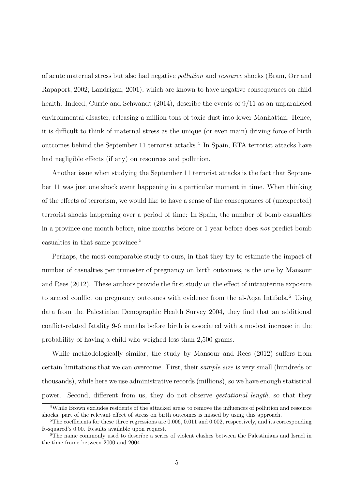of acute maternal stress but also had negative pollution and resource shocks (Bram, Orr and Rapaport, 2002; Landrigan, 2001), which are known to have negative consequences on child health. Indeed, Currie and Schwandt (2014), describe the events of 9/11 as an unparalleled environmental disaster, releasing a million tons of toxic dust into lower Manhattan. Hence, it is difficult to think of maternal stress as the unique (or even main) driving force of birth outcomes behind the September 11 terrorist attacks.<sup>4</sup> In Spain, ETA terrorist attacks have had negligible effects (if any) on resources and pollution.

Another issue when studying the September 11 terrorist attacks is the fact that September 11 was just one shock event happening in a particular moment in time. When thinking of the effects of terrorism, we would like to have a sense of the consequences of (unexpected) terrorist shocks happening over a period of time: In Spain, the number of bomb casualties in a province one month before, nine months before or 1 year before does not predict bomb casualties in that same province.<sup>5</sup>

Perhaps, the most comparable study to ours, in that they try to estimate the impact of number of casualties per trimester of pregnancy on birth outcomes, is the one by Mansour and Rees (2012). These authors provide the first study on the effect of intrauterine exposure to armed conflict on pregnancy outcomes with evidence from the al-Aqsa Intifada.<sup>6</sup> Using data from the Palestinian Demographic Health Survey 2004, they find that an additional conflict-related fatality 9-6 months before birth is associated with a modest increase in the probability of having a child who weighed less than 2,500 grams.

While methodologically similar, the study by Mansour and Rees (2012) suffers from certain limitations that we can overcome. First, their sample size is very small (hundreds or thousands), while here we use administrative records (millions), so we have enough statistical power. Second, different from us, they do not observe gestational length, so that they

<sup>4</sup>While Brown excludes residents of the attacked areas to remove the influences of pollution and resource shocks, part of the relevant effect of stress on birth outcomes is missed by using this approach.

 $5$ The coefficients for these three regressions are 0.006, 0.011 and 0.002, respectively, and its corresponding R-squared's 0.00. Results available upon request.

<sup>6</sup>The name commonly used to describe a series of violent clashes between the Palestinians and Israel in the time frame between 2000 and 2004.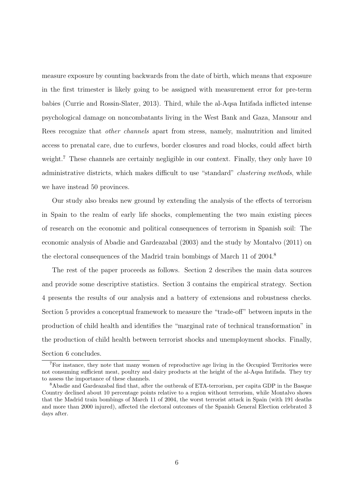measure exposure by counting backwards from the date of birth, which means that exposure in the first trimester is likely going to be assigned with measurement error for pre-term babies (Currie and Rossin-Slater, 2013). Third, while the al-Aqsa Intifada inflicted intense psychological damage on noncombatants living in the West Bank and Gaza, Mansour and Rees recognize that other channels apart from stress, namely, malnutrition and limited access to prenatal care, due to curfews, border closures and road blocks, could affect birth weight.<sup>7</sup> These channels are certainly negligible in our context. Finally, they only have 10 administrative districts, which makes difficult to use "standard" clustering methods, while we have instead 50 provinces.

Our study also breaks new ground by extending the analysis of the effects of terrorism in Spain to the realm of early life shocks, complementing the two main existing pieces of research on the economic and political consequences of terrorism in Spanish soil: The economic analysis of Abadie and Gardeazabal (2003) and the study by Montalvo (2011) on the electoral consequences of the Madrid train bombings of March 11 of 2004.<sup>8</sup>

The rest of the paper proceeds as follows. Section 2 describes the main data sources and provide some descriptive statistics. Section 3 contains the empirical strategy. Section 4 presents the results of our analysis and a battery of extensions and robustness checks. Section 5 provides a conceptual framework to measure the "trade-off" between inputs in the production of child health and identifies the "marginal rate of technical transformation" in the production of child health between terrorist shocks and unemployment shocks. Finally, Section 6 concludes.

<sup>7</sup>For instance, they note that many women of reproductive age living in the Occupied Territories were not consuming sufficient meat, poultry and dairy products at the height of the al-Aqsa Intifada. They try to assess the importance of these channels.

<sup>8</sup>Abadie and Gardeazabal find that, after the outbreak of ETA-terrorism, per capita GDP in the Basque Country declined about 10 percentage points relative to a region without terrorism, while Montalvo shows that the Madrid train bombings of March 11 of 2004, the worst terrorist attack in Spain (with 191 deaths and more than 2000 injured), affected the electoral outcomes of the Spanish General Election celebrated 3 days after.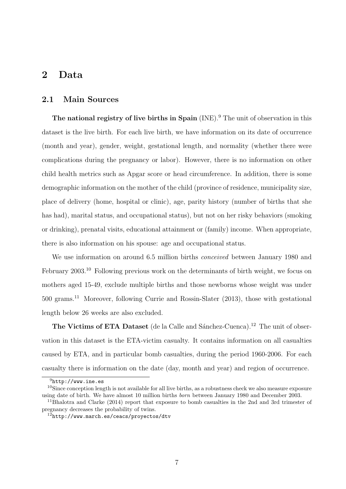### 2 Data

#### 2.1 Main Sources

The national registry of live births in Spain  $(NE)$ <sup>9</sup>. The unit of observation in this dataset is the live birth. For each live birth, we have information on its date of occurrence (month and year), gender, weight, gestational length, and normality (whether there were complications during the pregnancy or labor). However, there is no information on other child health metrics such as Apgar score or head circumference. In addition, there is some demographic information on the mother of the child (province of residence, municipality size, place of delivery (home, hospital or clinic), age, parity history (number of births that she has had), marital status, and occupational status), but not on her risky behaviors (smoking or drinking), prenatal visits, educational attainment or (family) income. When appropriate, there is also information on his spouse: age and occupational status.

We use information on around 6.5 million births *conceived* between January 1980 and February 2003.<sup>10</sup> Following previous work on the determinants of birth weight, we focus on mothers aged 15-49, exclude multiple births and those newborns whose weight was under 500 grams.<sup>11</sup> Moreover, following Currie and Rossin-Slater (2013), those with gestational length below 26 weeks are also excluded.

The Victims of ETA Dataset (de la Calle and Sánchez-Cuenca).<sup>12</sup> The unit of observation in this dataset is the ETA-victim casualty. It contains information on all casualties caused by ETA, and in particular bomb casualties, during the period 1960-2006. For each casualty there is information on the date (day, month and year) and region of occurrence.

 $^{9}$ http://www.ine.es

<sup>&</sup>lt;sup>10</sup>Since conception length is not available for all live births, as a robustness check we also measure exposure using date of birth. We have almost 10 million births born between January 1980 and December 2003.

<sup>11</sup>Bhalotra and Clarke (2014) report that exposure to bomb casualties in the 2nd and 3rd trimester of pregnancy decreases the probability of twins.

<sup>12</sup>http://www.march.es/ceacs/proyectos/dtv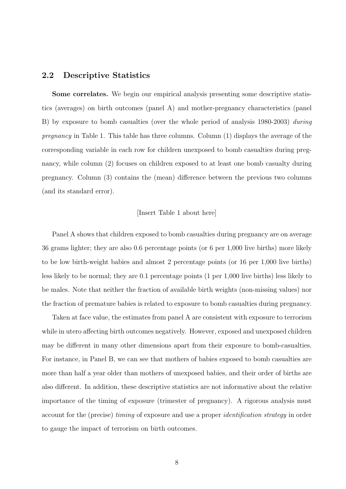#### 2.2 Descriptive Statistics

Some correlates. We begin our empirical analysis presenting some descriptive statistics (averages) on birth outcomes (panel A) and mother-pregnancy characteristics (panel B) by exposure to bomb casualties (over the whole period of analysis 1980-2003) during pregnancy in Table 1. This table has three columns. Column (1) displays the average of the corresponding variable in each row for children unexposed to bomb casualties during pregnancy, while column (2) focuses on children exposed to at least one bomb casualty during pregnancy. Column (3) contains the (mean) difference between the previous two columns (and its standard error).

#### [Insert Table 1 about here]

Panel A shows that children exposed to bomb casualties during pregnancy are on average 36 grams lighter; they are also 0.6 percentage points (or 6 per 1,000 live births) more likely to be low birth-weight babies and almost 2 percentage points (or 16 per 1,000 live births) less likely to be normal; they are 0.1 percentage points (1 per 1,000 live births) less likely to be males. Note that neither the fraction of available birth weights (non-missing values) nor the fraction of premature babies is related to exposure to bomb casualties during pregnancy.

Taken at face value, the estimates from panel A are consistent with exposure to terrorism while in utero affecting birth outcomes negatively. However, exposed and unexposed children may be different in many other dimensions apart from their exposure to bomb-casualties. For instance, in Panel B, we can see that mothers of babies exposed to bomb casualties are more than half a year older than mothers of unexposed babies, and their order of births are also different. In addition, these descriptive statistics are not informative about the relative importance of the timing of exposure (trimester of pregnancy). A rigorous analysis must account for the (precise) timing of exposure and use a proper identification strategy in order to gauge the impact of terrorism on birth outcomes.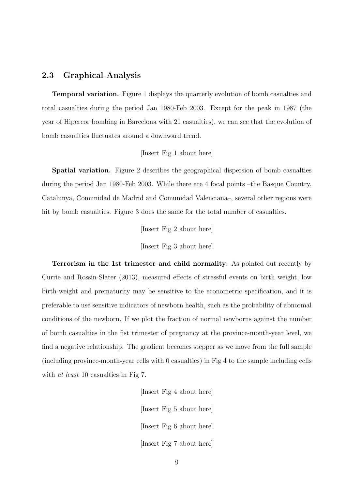#### 2.3 Graphical Analysis

Temporal variation. Figure 1 displays the quarterly evolution of bomb casualties and total casualties during the period Jan 1980-Feb 2003. Except for the peak in 1987 (the year of Hipercor bombing in Barcelona with 21 casualties), we can see that the evolution of bomb casualties fluctuates around a downward trend.

[Insert Fig 1 about here]

Spatial variation. Figure 2 describes the geographical dispersion of bomb casualties during the period Jan 1980-Feb 2003. While there are 4 focal points –the Basque Country, Catalunya, Comunidad de Madrid and Comunidad Valenciana–, several other regions were hit by bomb casualties. Figure 3 does the same for the total number of casualties.

[Insert Fig 2 about here]

[Insert Fig 3 about here]

Terrorism in the 1st trimester and child normality. As pointed out recently by Currie and Rossin-Slater (2013), measured effects of stressful events on birth weight, low birth-weight and prematurity may be sensitive to the econometric specification, and it is preferable to use sensitive indicators of newborn health, such as the probability of abnormal conditions of the newborn. If we plot the fraction of normal newborns against the number of bomb casualties in the fist trimester of pregnancy at the province-month-year level, we find a negative relationship. The gradient becomes stepper as we move from the full sample (including province-month-year cells with 0 casualties) in Fig 4 to the sample including cells with *at least* 10 casualties in Fig 7.

> [Insert Fig 4 about here] [Insert Fig 5 about here] [Insert Fig 6 about here] [Insert Fig 7 about here]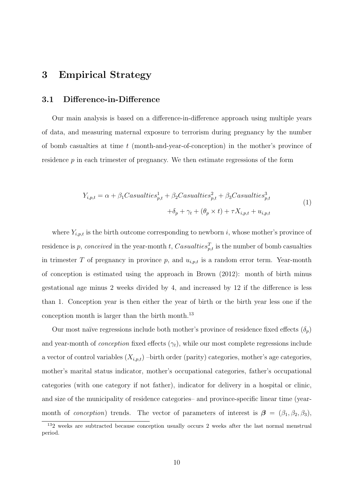## 3 Empirical Strategy

#### 3.1 Difference-in-Difference

Our main analysis is based on a difference-in-difference approach using multiple years of data, and measuring maternal exposure to terrorism during pregnancy by the number of bomb casualties at time  $t$  (month-and-year-of-conception) in the mother's province of residence  $p$  in each trimester of pregnancy. We then estimate regressions of the form

$$
Y_{i,p,t} = \alpha + \beta_1 Casualties_{p,t}^1 + \beta_2 Casualties_{p,t}^2 + \beta_3 Casualties_{p,t}^3
$$
  

$$
+ \delta_p + \gamma_t + (\theta_p \times t) + \tau X_{i,p,t} + u_{i,p,t}
$$
 (1)

where  $Y_{i,p,t}$  is the birth outcome corresponding to newborn i, whose mother's province of residence is p, conceived in the year-month t, Casualties $_{p,t}^T$  is the number of bomb casualties in trimester T of pregnancy in province p, and  $u_{i,p,t}$  is a random error term. Year-month of conception is estimated using the approach in Brown (2012): month of birth minus gestational age minus 2 weeks divided by 4, and increased by 12 if the difference is less than 1. Conception year is then either the year of birth or the birth year less one if the conception month is larger than the birth month.<sup>13</sup>

Our most naïve regressions include both mother's province of residence fixed effects  $(\delta_p)$ and year-month of *conception* fixed effects  $(\gamma_t)$ , while our most complete regressions include a vector of control variables  $(X_{i,p,t})$  –birth order (parity) categories, mother's age categories, mother's marital status indicator, mother's occupational categories, father's occupational categories (with one category if not father), indicator for delivery in a hospital or clinic, and size of the municipality of residence categories– and province-specific linear time (yearmonth of *conception*) trends. The vector of parameters of interest is  $\beta = (\beta_1, \beta_2, \beta_3)$ ,

<sup>13</sup>2 weeks are subtracted because conception usually occurs 2 weeks after the last normal menstrual period.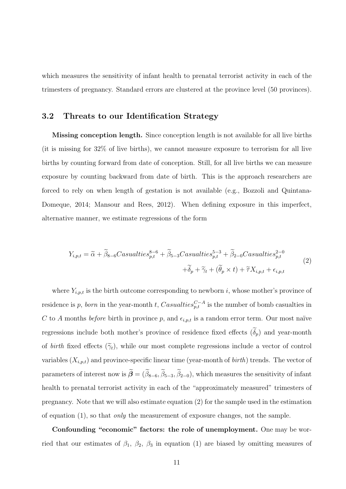which measures the sensitivity of infant health to prenatal terrorist activity in each of the trimesters of pregnancy. Standard errors are clustered at the province level (50 provinces).

#### 3.2 Threats to our Identification Strategy

Missing conception length. Since conception length is not available for all live births (it is missing for 32% of live births), we cannot measure exposure to terrorism for all live births by counting forward from date of conception. Still, for all live births we can measure exposure by counting backward from date of birth. This is the approach researchers are forced to rely on when length of gestation is not available (e.g., Bozzoli and Quintana-Domeque, 2014; Mansour and Rees, 2012). When defining exposure in this imperfect, alternative manner, we estimate regressions of the form

$$
Y_{i,p,t} = \tilde{\alpha} + \tilde{\beta}_{8-6}Casualties_{p,t}^{8-6} + \tilde{\beta}_{5-3}Casualties_{p,t}^{5-3} + \tilde{\beta}_{2-0}Casualties_{p,t}^{2-0}
$$
  
 
$$
+ \tilde{\delta}_p + \tilde{\gamma}_t + (\tilde{\theta}_p \times t) + \tilde{\tau}X_{i,p,t} + \epsilon_{i,p,t}
$$
 (2)

where  $Y_{i,p,t}$  is the birth outcome corresponding to newborn i, whose mother's province of residence is p, born in the year-month t, Casualties ${}_{p,t}^{C-A}$  is the number of bomb casualties in C to A months before birth in province p, and  $\epsilon_{i,p,t}$  is a random error term. Our most naïve regressions include both mother's province of residence fixed effects  $(\tilde{\delta}_p)$  and year-month of birth fixed effects  $(\tilde{\gamma}_t)$ , while our most complete regressions include a vector of control variables  $(X_{i,p,t})$  and province-specific linear time (year-month of *birth*) trends. The vector of parameters of interest now is  $\widetilde{\beta} = (\widetilde{\beta}_{8-6}, \widetilde{\beta}_{5-3}, \widetilde{\beta}_{2-0})$ , which measures the sensitivity of infant health to prenatal terrorist activity in each of the "approximately measured" trimesters of pregnancy. Note that we will also estimate equation (2) for the sample used in the estimation of equation  $(1)$ , so that *only* the measurement of exposure changes, not the sample.

Confounding "economic" factors: the role of unemployment. One may be worried that our estimates of  $\beta_1$ ,  $\beta_2$ ,  $\beta_3$  in equation (1) are biased by omitting measures of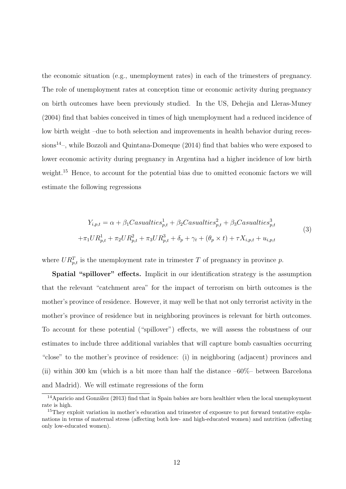the economic situation (e.g., unemployment rates) in each of the trimesters of pregnancy. The role of unemployment rates at conception time or economic activity during pregnancy on birth outcomes have been previously studied. In the US, Dehejia and Lleras-Muney (2004) find that babies conceived in times of high unemployment had a reduced incidence of low birth weight –due to both selection and improvements in health behavior during recessions<sup>14</sup>–, while Bozzoli and Quintana-Domeque  $(2014)$  find that babies who were exposed to lower economic activity during pregnancy in Argentina had a higher incidence of low birth weight.<sup>15</sup> Hence, to account for the potential bias due to omitted economic factors we will estimate the following regressions

$$
Y_{i,p,t} = \alpha + \beta_1 Casualties_{p,t}^1 + \beta_2 Casualties_{p,t}^2 + \beta_3 Casualties_{p,t}^3
$$
  
+
$$
\pi_1 UR_{p,t}^1 + \pi_2 UR_{p,t}^2 + \pi_3 UR_{p,t}^3 + \delta_p + \gamma_t + (\theta_p \times t) + \tau X_{i,p,t} + u_{i,p,t}
$$
(3)

where  $UR_{p,t}^T$  is the unemployment rate in trimester T of pregnancy in province p.

Spatial "spillover" effects. Implicit in our identification strategy is the assumption that the relevant "catchment area" for the impact of terrorism on birth outcomes is the mother's province of residence. However, it may well be that not only terrorist activity in the mother's province of residence but in neighboring provinces is relevant for birth outcomes. To account for these potential ("spillover") effects, we will assess the robustness of our estimates to include three additional variables that will capture bomb casualties occurring "close" to the mother's province of residence: (i) in neighboring (adjacent) provinces and (ii) within 300 km (which is a bit more than half the distance  $-60\%$  between Barcelona and Madrid). We will estimate regressions of the form

<sup>&</sup>lt;sup>14</sup>Aparicio and González (2013) find that in Spain babies are born healthier when the local unemployment rate is high.

<sup>&</sup>lt;sup>15</sup>They exploit variation in mother's education and trimester of exposure to put forward tentative explanations in terms of maternal stress (affecting both low- and high-educated women) and nutrition (affecting only low-educated women).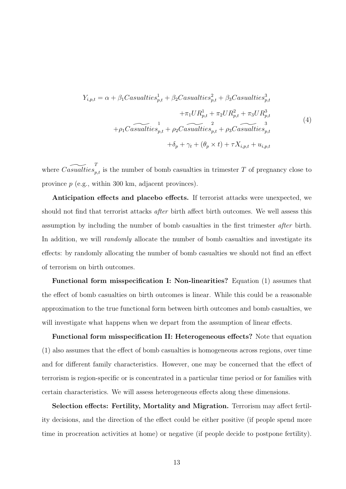$$
Y_{i,p,t} = \alpha + \beta_1 Casualties_{p,t}^1 + \beta_2 Casualties_{p,t}^2 + \beta_3 Casualties_{p,t}^3 + \pi_1 UR_{p,t}^1 + \pi_2 UR_{p,t}^2 + \pi_3 UR_{p,t}^3
$$
  
+  $\rho_1 Casualties_{p,t}^1 + \rho_2 Casualties_{p,t}^2 + \rho_3 Casualties_{p,t}^3$   
+  $\delta_p + \gamma_t + (\theta_p \times t) + \tau X_{i,p,t} + u_{i,p,t}$  (4)

where  $\widetilde{Casualties}_{p,t}$  is the number of bomb casualties in trimester T of pregnancy close to province p (e.g., within 300 km, adjacent provinces).

Anticipation effects and placebo effects. If terrorist attacks were unexpected, we should not find that terrorist attacks after birth affect birth outcomes. We well assess this assumption by including the number of bomb casualties in the first trimester after birth. In addition, we will *randomly* allocate the number of bomb casualties and investigate its effects: by randomly allocating the number of bomb casualties we should not find an effect of terrorism on birth outcomes.

Functional form misspecification I: Non-linearities? Equation (1) assumes that the effect of bomb casualties on birth outcomes is linear. While this could be a reasonable approximation to the true functional form between birth outcomes and bomb casualties, we will investigate what happens when we depart from the assumption of linear effects.

Functional form misspecification II: Heterogeneous effects? Note that equation (1) also assumes that the effect of bomb casualties is homogeneous across regions, over time and for different family characteristics. However, one may be concerned that the effect of terrorism is region-specific or is concentrated in a particular time period or for families with certain characteristics. We will assess heterogeneous effects along these dimensions.

Selection effects: Fertility, Mortality and Migration. Terrorism may affect fertility decisions, and the direction of the effect could be either positive (if people spend more time in procreation activities at home) or negative (if people decide to postpone fertility).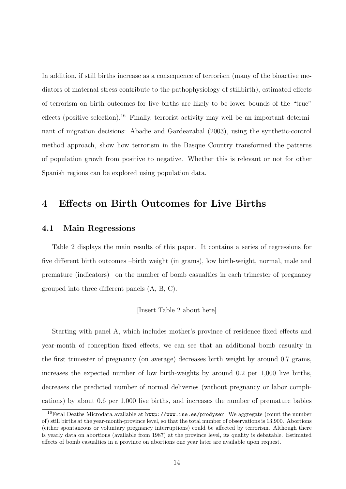In addition, if still births increase as a consequence of terrorism (many of the bioactive mediators of maternal stress contribute to the pathophysiology of stillbirth), estimated effects of terrorism on birth outcomes for live births are likely to be lower bounds of the "true" effects (positive selection).<sup>16</sup> Finally, terrorist activity may well be an important determinant of migration decisions: Abadie and Gardeazabal (2003), using the synthetic-control method approach, show how terrorism in the Basque Country transformed the patterns of population growh from positive to negative. Whether this is relevant or not for other Spanish regions can be explored using population data.

### 4 Effects on Birth Outcomes for Live Births

#### 4.1 Main Regressions

Table 2 displays the main results of this paper. It contains a series of regressions for five different birth outcomes –birth weight (in grams), low birth-weight, normal, male and premature (indicators)– on the number of bomb casualties in each trimester of pregnancy grouped into three different panels (A, B, C).

#### [Insert Table 2 about here]

Starting with panel A, which includes mother's province of residence fixed effects and year-month of conception fixed effects, we can see that an additional bomb casualty in the first trimester of pregnancy (on average) decreases birth weight by around 0.7 grams, increases the expected number of low birth-weights by around 0.2 per 1,000 live births, decreases the predicted number of normal deliveries (without pregnancy or labor complications) by about 0.6 per 1,000 live births, and increases the number of premature babies

<sup>&</sup>lt;sup>16</sup>Fetal Deaths Microdata available at http://www.ine.es/prodyser. We aggregate (count the number of) still births at the year-month-province level, so that the total number of observations is 13,900. Abortions (either spontaneous or voluntary pregnancy interruptions) could be affected by terrorism. Although there is yearly data on abortions (available from 1987) at the province level, its quality is debatable. Estimated effects of bomb casualties in a province on abortions one year later are available upon request.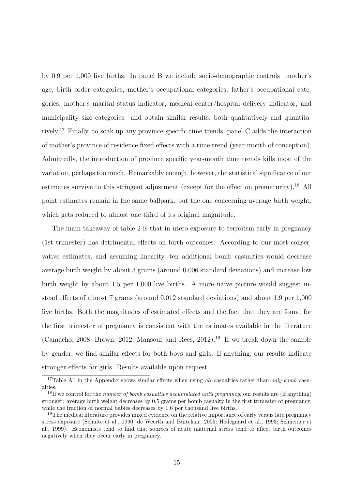by 0.9 per 1,000 live births. In panel B we include socio-demographic controls –mother's age, birth order categories, mother's occupational categories, father's occupational categories, mother's marital status indicator, medical center/hospital delivery indicator, and municipality size categories– and obtain similar results, both qualitatively and quantitatively.<sup>17</sup> Finally, to soak up any province-specific time trends, panel C adds the interaction of mother's province of residence fixed effects with a time trend (year-month of conception). Admittedly, the introduction of province specific year-month time trends kills most of the variation, perhaps too much. Remarkably enough, however, the statistical significance of our estimates survive to this stringent adjustment (except for the effect on prematurity).<sup>18</sup> All point estimates remain in the same ballpark, but the one concerning average birth weight, which gets reduced to almost one third of its original magnitude.

The main takeaway of table 2 is that in utero exposure to terrorism early in pregnancy (1st trimester) has detrimental effects on birth outcomes. According to our most conservative estimates, and assuming linearity, ten additional bomb casualties would decrease average birth weight by about 3 grams (around 0.006 standard deviations) and increase low birth weight by about 1.5 per 1,000 live births. A more na¨ıve picture would suggest instead effects of almost 7 grams (around 0.012 standard deviations) and about 1.9 per 1,000 live births. Both the magnitudes of estimated effects and the fact that they are found for the first trimester of pregnancy is consistent with the estimates available in the literature (Camacho, 2008; Brown, 2012; Mansour and Rees, 2012).<sup>19</sup> If we break down the sample by gender, we find similar effects for both boys and girls. If anything, our results indicate stronger effects for girls. Results available upon request.

<sup>&</sup>lt;sup>17</sup>Table A1 in the Appendix shows similar effects when using all casualties rather than only bomb casualties.

<sup>&</sup>lt;sup>18</sup>If we control for the *number of bomb casualties accumulated until pregnancy*, our results are (if anything) stronger: average birth weight decreases by 0.5 grams per bomb casualty in the first trimester of pregnancy, while the fraction of normal babies decreases by 1.6 per thousand live births.

<sup>&</sup>lt;sup>19</sup>The medical literature provides mixed evidence on the relative importance of early versus late pregnancy stress exposure (Schulte et al., 1990; de Weerth and Buitelaar, 2005; Hedegaard et al., 1993; Schneider et al., 1999). Economists tend to find that sources of acute maternal stress tend to affect birth outcomes negatively when they occur early in pregnancy.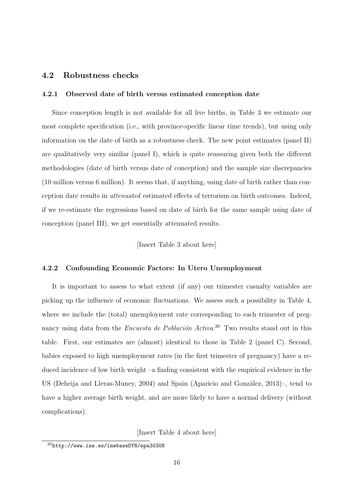#### 4.2 Robustness checks

#### 4.2.1 Observed date of birth versus estimated conception date

Since conception length is not available for all live births, in Table 3 we estimate our most complete specification (i.e., with province-specific linear time trends), but using only information on the date of birth as a robustness check. The new point estimates (panel II) are qualitatively very similar (panel I), which is quite reassuring given both the different methodologies (date of birth versus date of conception) and the sample size discrepancies (10 million versus 6 million). It seems that, if anything, using date of birth rather than conception date results in attenuated estimated effects of terrorism on birth outcomes. Indeed, if we re-estimate the regressions based on date of birth for the same sample using date of conception (panel III), we get essentially attenuated results.

[Insert Table 3 about here]

#### 4.2.2 Confounding Economic Factors: In Utero Unemployment

It is important to assess to what extent (if any) our trimester casualty variables are picking up the influence of economic fluctuations. We assess such a possibility in Table 4, where we include the (total) unemployment rate corresponding to each trimester of pregnancy using data from the *Encuesta de Población Activa*.<sup>20</sup> Two results stand out in this table. First, our estimates are (almost) identical to those in Table 2 (panel C). Second, babies exposed to high unemployment rates (in the first trimester of pregnancy) have a reduced incidence of low birth weight –a finding consistent with the empirical evidence in the US (Deheija and Lleras-Muney, 2004) and Spain (Aparicio and González, 2013)–, tend to have a higher average birth weight, and are more likely to have a normal delivery (without complications).

[Insert Table 4 about here]

<sup>20</sup>http://www.ine.es/inebaseDYN/epa30308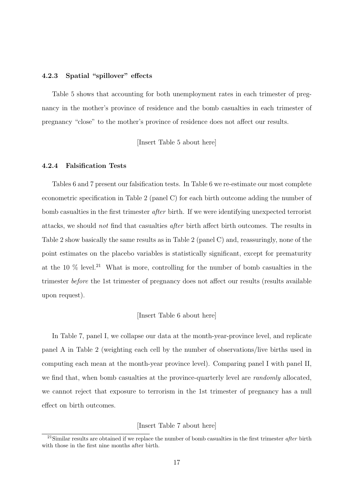#### 4.2.3 Spatial "spillover" effects

Table 5 shows that accounting for both unemployment rates in each trimester of pregnancy in the mother's province of residence and the bomb casualties in each trimester of pregnancy "close" to the mother's province of residence does not affect our results.

[Insert Table 5 about here]

#### 4.2.4 Falsification Tests

Tables 6 and 7 present our falsification tests. In Table 6 we re-estimate our most complete econometric specification in Table 2 (panel C) for each birth outcome adding the number of bomb casualties in the first trimester *after* birth. If we were identifying unexpected terrorist attacks, we should not find that casualties after birth affect birth outcomes. The results in Table 2 show basically the same results as in Table 2 (panel C) and, reassuringly, none of the point estimates on the placebo variables is statistically significant, except for prematurity at the 10  $\%$  level.<sup>21</sup> What is more, controlling for the number of bomb casualties in the trimester before the 1st trimester of pregnancy does not affect our results (results available upon request).

#### [Insert Table 6 about here]

In Table 7, panel I, we collapse our data at the month-year-province level, and replicate panel A in Table 2 (weighting each cell by the number of observations/live births used in computing each mean at the month-year province level). Comparing panel I with panel II, we find that, when bomb casualties at the province-quarterly level are *randomly* allocated, we cannot reject that exposure to terrorism in the 1st trimester of pregnancy has a null effect on birth outcomes.

#### [Insert Table 7 about here]

 $21$ Similar results are obtained if we replace the number of bomb casualties in the first trimester *after* birth with those in the first nine months after birth.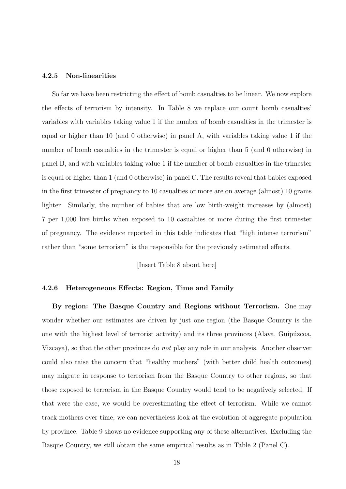#### 4.2.5 Non-linearities

So far we have been restricting the effect of bomb casualties to be linear. We now explore the effects of terrorism by intensity. In Table 8 we replace our count bomb casualties' variables with variables taking value 1 if the number of bomb casualties in the trimester is equal or higher than 10 (and 0 otherwise) in panel A, with variables taking value 1 if the number of bomb casualties in the trimester is equal or higher than 5 (and 0 otherwise) in panel B, and with variables taking value 1 if the number of bomb casualties in the trimester is equal or higher than 1 (and 0 otherwise) in panel C. The results reveal that babies exposed in the first trimester of pregnancy to 10 casualties or more are on average (almost) 10 grams lighter. Similarly, the number of babies that are low birth-weight increases by (almost) 7 per 1,000 live births when exposed to 10 casualties or more during the first trimester of pregnancy. The evidence reported in this table indicates that "high intense terrorism" rather than "some terrorism" is the responsible for the previously estimated effects.

[Insert Table 8 about here]

#### 4.2.6 Heterogeneous Effects: Region, Time and Family

By region: The Basque Country and Regions without Terrorism. One may wonder whether our estimates are driven by just one region (the Basque Country is the one with the highest level of terrorist activity) and its three provinces (Alava, Guipúzcoa, Vizcaya), so that the other provinces do not play any role in our analysis. Another observer could also raise the concern that "healthy mothers" (with better child health outcomes) may migrate in response to terrorism from the Basque Country to other regions, so that those exposed to terrorism in the Basque Country would tend to be negatively selected. If that were the case, we would be overestimating the effect of terrorism. While we cannot track mothers over time, we can nevertheless look at the evolution of aggregate population by province. Table 9 shows no evidence supporting any of these alternatives. Excluding the Basque Country, we still obtain the same empirical results as in Table 2 (Panel C).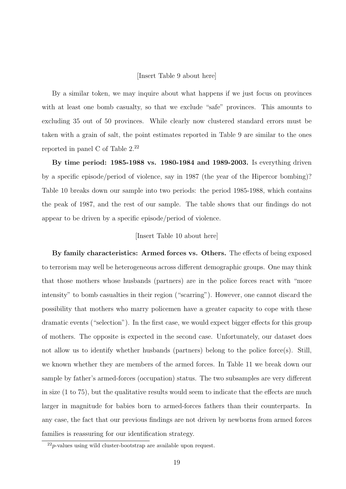#### [Insert Table 9 about here]

By a similar token, we may inquire about what happens if we just focus on provinces with at least one bomb casualty, so that we exclude "safe" provinces. This amounts to excluding 35 out of 50 provinces. While clearly now clustered standard errors must be taken with a grain of salt, the point estimates reported in Table 9 are similar to the ones reported in panel C of Table 2.<sup>22</sup>

By time period: 1985-1988 vs. 1980-1984 and 1989-2003. Is everything driven by a specific episode/period of violence, say in 1987 (the year of the Hipercor bombing)? Table 10 breaks down our sample into two periods: the period 1985-1988, which contains the peak of 1987, and the rest of our sample. The table shows that our findings do not appear to be driven by a specific episode/period of violence.

#### [Insert Table 10 about here]

By family characteristics: Armed forces vs. Others. The effects of being exposed to terrorism may well be heterogeneous across different demographic groups. One may think that those mothers whose husbands (partners) are in the police forces react with "more intensity" to bomb casualties in their region ("scarring"). However, one cannot discard the possibility that mothers who marry policemen have a greater capacity to cope with these dramatic events ("selection"). In the first case, we would expect bigger effects for this group of mothers. The opposite is expected in the second case. Unfortunately, our dataset does not allow us to identify whether husbands (partners) belong to the police force(s). Still, we known whether they are members of the armed forces. In Table 11 we break down our sample by father's armed-forces (occupation) status. The two subsamples are very different in size (1 to 75), but the qualitative results would seem to indicate that the effects are much larger in magnitude for babies born to armed-forces fathers than their counterparts. In any case, the fact that our previous findings are not driven by newborns from armed forces families is reassuring for our identification strategy.

 $22p$ -values using wild cluster-bootstrap are available upon request.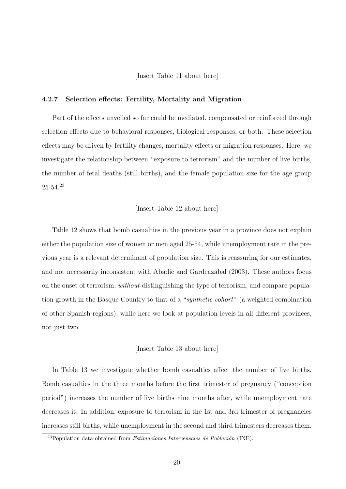[Insert Table 11 about here]

#### 4.2.7 Selection effects: Fertility, Mortality and Migration

Part of the effects unveiled so far could be mediated, compensated or reinforced through selection effects due to behavioral responses, biological responses, or both. These selection effects may be driven by fertility changes, mortality effects or migration responses. Here, we investigate the relationship between "exposure to terrorism" and the number of live births, the number of fetal deaths (still births), and the female population size for the age group 25-54.<sup>23</sup>

#### [Insert Table 12 about here]

Table 12 shows that bomb casualties in the previous year in a province does not explain either the population size of women or men aged 25-54, while unemployment rate in the previous year is a relevant determinant of population size. This is reassuring for our estimates, and not necessarily inconsistent with Abadie and Gardeazabal (2003). These authors focus on the onset of terrorism, without distinguishing the type of terrorism, and compare population growth in the Basque Country to that of a "synthetic cohort" (a weighted combination of other Spanish regions), while here we look at population levels in all different provinces, not just two.

#### [Insert Table 13 about here]

In Table 13 we investigate whether bomb casualties affect the number of live births. Bomb casualties in the three months before the first trimester of pregnancy ("conception period") increases the number of live births nine months after, while unemployment rate decreases it. In addition, exposure to terrorism in the 1st and 3rd trimester of pregnancies increases still births, while unemployment in the second and third trimesters decreases them.

 $^{23}$ Population data obtained from *Estimaciones Intercensales de Población* (INE).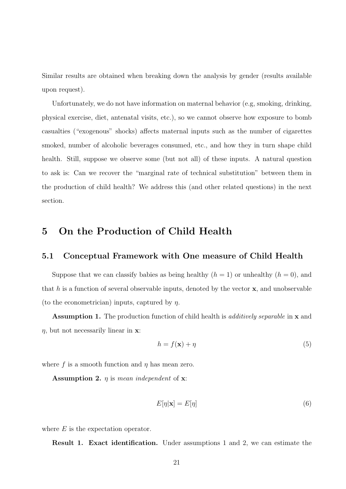Similar results are obtained when breaking down the analysis by gender (results available upon request).

Unfortunately, we do not have information on maternal behavior (e.g, smoking, drinking, physical exercise, diet, antenatal visits, etc.), so we cannot observe how exposure to bomb casualties ("exogenous" shocks) affects maternal inputs such as the number of cigarettes smoked, number of alcoholic beverages consumed, etc., and how they in turn shape child health. Still, suppose we observe some (but not all) of these inputs. A natural question to ask is: Can we recover the "marginal rate of technical substitution" between them in the production of child health? We address this (and other related questions) in the next section.

## 5 On the Production of Child Health

#### 5.1 Conceptual Framework with One measure of Child Health

Suppose that we can classify babies as being healthy  $(h = 1)$  or unhealthy  $(h = 0)$ , and that h is a function of several observable inputs, denoted by the vector  $x$ , and unobservable (to the econometrician) inputs, captured by  $\eta$ .

Assumption 1. The production function of child health is *additively separable* in **x** and  $\eta$ , but not necessarily linear in **x**:

$$
h = f(\mathbf{x}) + \eta \tag{5}
$$

where f is a smooth function and  $\eta$  has mean zero.

**Assumption 2.**  $\eta$  is mean independent of **x**:

$$
E[\eta|\mathbf{x}] = E[\eta] \tag{6}
$$

where  $E$  is the expectation operator.

Result 1. Exact identification. Under assumptions 1 and 2, we can estimate the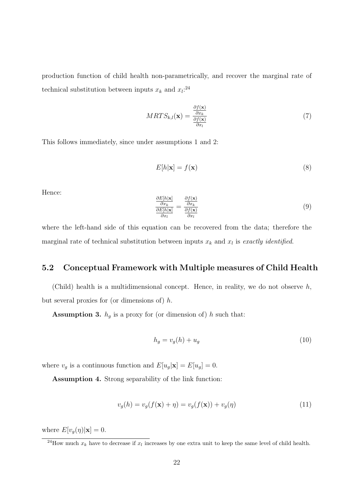production function of child health non-parametrically, and recover the marginal rate of technical substitution between inputs  $x_k$  and  $x_l$ <sup>24</sup>

$$
MRTS_{k,l}(\mathbf{x}) = \frac{\frac{\partial f(\mathbf{x})}{\partial x_k}}{\frac{\partial f(\mathbf{x})}{\partial x_l}}
$$
(7)

This follows immediately, since under assumptions 1 and 2:

$$
E[h|\mathbf{x}] = f(\mathbf{x})\tag{8}
$$

Hence:

$$
\frac{\frac{\partial E[h|\mathbf{x}]}{\partial x_k}}{\frac{\partial E[h|\mathbf{x}]}{\partial x_l}} = \frac{\frac{\partial f(\mathbf{x})}{\partial x_k}}{\frac{\partial f(\mathbf{x})}{\partial x_l}}
$$
(9)

where the left-hand side of this equation can be recovered from the data; therefore the marginal rate of technical substitution between inputs  $x_k$  and  $x_l$  is exactly identified.

### 5.2 Conceptual Framework with Multiple measures of Child Health

(Child) health is a multidimensional concept. Hence, in reality, we do not observe  $h$ , but several proxies for (or dimensions of)  $h$ .

**Assumption 3.**  $h_g$  is a proxy for (or dimension of) h such that:

$$
h_g = v_g(h) + u_g \tag{10}
$$

where  $v_g$  is a continuous function and  $E[u_g|\mathbf{x}] = E[u_g] = 0$ .

Assumption 4. Strong separability of the link function:

$$
v_g(h) = v_g(f(\mathbf{x}) + \eta) = v_g(f(\mathbf{x})) + v_g(\eta)
$$
\n(11)

where  $E[v_g(\eta)|\mathbf{x}] = 0$ .

<sup>&</sup>lt;sup>24</sup>How much  $x_k$  have to decrease if  $x_l$  increases by one extra unit to keep the same level of child health.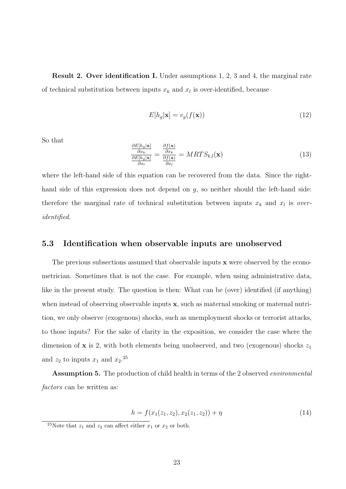Result 2. Over identification I. Under assumptions 1, 2, 3 and 4, the marginal rate of technical substitution between inputs  $x_k$  and  $x_l$  is over-identified, because

$$
E[h_g|\mathbf{x}] = v_g(f(\mathbf{x}))\tag{12}
$$

So that

$$
\frac{\frac{\partial E[h_g|\mathbf{x}]}{\partial x_k}}{\frac{\partial E[h_g|\mathbf{x}]}{\partial x_l}} = \frac{\frac{\partial f(\mathbf{x})}{\partial x_k}}{\frac{\partial f(\mathbf{x})}{\partial x_l}} = MRTS_{k,l}(\mathbf{x})
$$
\n(13)

where the left-hand side of this equation can be recovered from the data. Since the righthand side of this expression does not depend on g, so neither should the left-hand side: therefore the marginal rate of technical substitution between inputs  $x_k$  and  $x_l$  is *over*identified.

#### 5.3 Identification when observable inputs are unobserved

The previous subsections assumed that observable inputs **x** were observed by the econometrician. Sometimes that is not the case. For example, when using administrative data, like in the present study. The question is then: What can be (over) identified (if anything) when instead of observing observable inputs x, such as maternal smoking or maternal nutrition, we only observe (exogenous) shocks, such as unemployment shocks or terrorist attacks, to those inputs? For the sake of clarity in the exposition, we consider the case where the dimension of  $x$  is 2, with both elements being unobserved, and two (exogenous) shocks  $z_1$ and  $z_2$  to inputs  $x_1$  and  $x_2$ <sup>25</sup>

Assumption 5. The production of child health in terms of the 2 observed environmental factors can be written as:

$$
h = f(x_1(z_1, z_2), x_2(z_1, z_2)) + \eta \tag{14}
$$

<sup>&</sup>lt;sup>25</sup>Note that  $z_1$  and  $z_2$  can affect either  $x_1$  or  $x_2$  or both.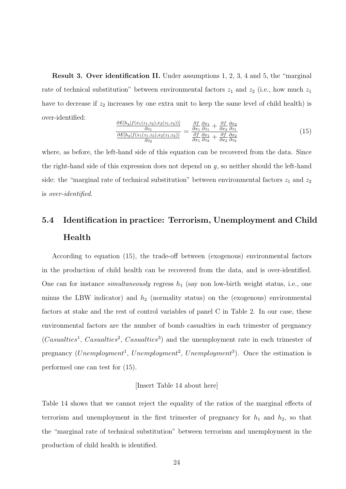Result 3. Over identification II. Under assumptions 1, 2, 3, 4 and 5, the "marginal rate of technical substitution" between environmental factors  $z_1$  and  $z_2$  (i.e., how much  $z_1$ have to decrease if  $z_2$  increases by one extra unit to keep the same level of child health) is over-identified:

$$
\frac{\frac{\partial E[h_g[f(x_1(z_1,z_2),x_2(z_1,z_2))]}{\partial z_1}}{\frac{\partial E[h_g[f(x_1(z_1,z_2),x_2(z_1,z_2))]}{\partial z_2}} = \frac{\frac{\partial f}{\partial x_1} \frac{\partial x_1}{\partial z_1} + \frac{\partial f}{\partial x_2} \frac{\partial x_2}{\partial z_1}}{\frac{\partial f}{\partial x_1} \frac{\partial x_1}{\partial z_2} + \frac{\partial f}{\partial x_2} \frac{\partial x_2}{\partial z_2}}
$$
(15)

where, as before, the left-hand side of this equation can be recovered from the data. Since the right-hand side of this expression does not depend on g, so neither should the left-hand side: the "marginal rate of technical substitution" between environmental factors  $z_1$  and  $z_2$ is over-identified.

## 5.4 Identification in practice: Terrorism, Unemployment and Child Health

According to equation (15), the trade-off between (exogenous) environmental factors in the production of child health can be recovered from the data, and is over-identified. One can for instance *simultaneously* regress  $h_1$  (say non low-birth weight status, i.e., one minus the LBW indicator) and  $h_2$  (normality status) on the (exogenous) environmental factors at stake and the rest of control variables of panel C in Table 2. In our case, these environmental factors are the number of bomb casualties in each trimester of pregnancy  $(Casualties<sup>1</sup>, Casualties<sup>2</sup>, Casualties<sup>3</sup>)$  and the unemployment rate in each trimester of pregnancy (Unemployment<sup>1</sup>, Unemployment<sup>2</sup>, Unemployment<sup>3</sup>). Once the estimation is performed one can test for (15).

#### [Insert Table 14 about here]

Table 14 shows that we cannot reject the equality of the ratios of the marginal effects of terrorism and unemployment in the first trimester of pregnancy for  $h_1$  and  $h_2$ , so that the "marginal rate of technical substitution" between terrorism and unemployment in the production of child health is identified.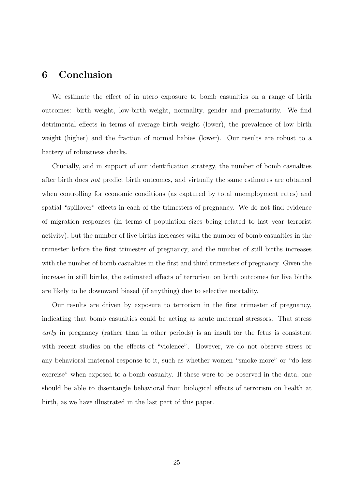## 6 Conclusion

We estimate the effect of in utero exposure to bomb casualties on a range of birth outcomes: birth weight, low-birth weight, normality, gender and prematurity. We find detrimental effects in terms of average birth weight (lower), the prevalence of low birth weight (higher) and the fraction of normal babies (lower). Our results are robust to a battery of robustness checks.

Crucially, and in support of our identification strategy, the number of bomb casualties after birth does not predict birth outcomes, and virtually the same estimates are obtained when controlling for economic conditions (as captured by total unemployment rates) and spatial "spillover" effects in each of the trimesters of pregnancy. We do not find evidence of migration responses (in terms of population sizes being related to last year terrorist activity), but the number of live births increases with the number of bomb casualties in the trimester before the first trimester of pregnancy, and the number of still births increases with the number of bomb casualties in the first and third trimesters of pregnancy. Given the increase in still births, the estimated effects of terrorism on birth outcomes for live births are likely to be downward biased (if anything) due to selective mortality.

Our results are driven by exposure to terrorism in the first trimester of pregnancy, indicating that bomb casualties could be acting as acute maternal stressors. That stress early in pregnancy (rather than in other periods) is an insult for the fetus is consistent with recent studies on the effects of "violence". However, we do not observe stress or any behavioral maternal response to it, such as whether women "smoke more" or "do less exercise" when exposed to a bomb casualty. If these were to be observed in the data, one should be able to disentangle behavioral from biological effects of terrorism on health at birth, as we have illustrated in the last part of this paper.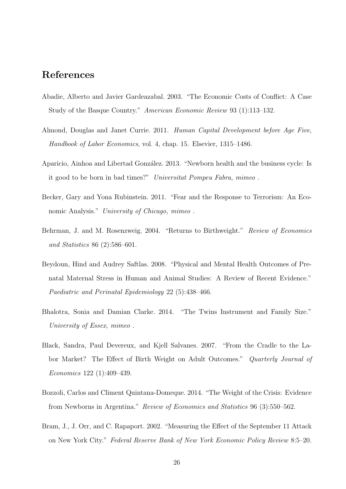## References

- Abadie, Alberto and Javier Gardeazabal. 2003. "The Economic Costs of Conflict: A Case Study of the Basque Country." American Economic Review 93 (1):113–132.
- Almond, Douglas and Janet Currie. 2011. Human Capital Development before Age Five, Handbook of Labor Economics, vol. 4, chap. 15. Elsevier, 1315–1486.
- Aparicio, Ainhoa and Libertad González. 2013. "Newborn health and the business cycle: Is it good to be born in bad times?" Universitat Pompeu Fabra, mimeo .
- Becker, Gary and Yona Rubinstein. 2011. "Fear and the Response to Terrorism: An Economic Analysis." University of Chicago, mimeo.
- Behrman, J. and M. Rosenzweig. 2004. "Returns to Birthweight." Review of Economics and Statistics 86 (2):586–601.
- Beydoun, Hind and Audrey Saftlas. 2008. "Physical and Mental Health Outcomes of Prenatal Maternal Stress in Human and Animal Studies: A Review of Recent Evidence." Paediatric and Perinatal Epidemiology 22 (5):438–466.
- Bhalotra, Sonia and Damian Clarke. 2014. "The Twins Instrument and Family Size." University of Essex, mimeo .
- Black, Sandra, Paul Devereux, and Kjell Salvanes. 2007. "From the Cradle to the Labor Market? The Effect of Birth Weight on Adult Outcomes." Quarterly Journal of Economics 122 (1):409–439.
- Bozzoli, Carlos and Climent Quintana-Domeque. 2014. "The Weight of the Crisis: Evidence from Newborns in Argentina." Review of Economics and Statistics 96 (3):550–562.
- Bram, J., J. Orr, and C. Rapaport. 2002. "Measuring the Effect of the September 11 Attack on New York City." Federal Reserve Bank of New York Economic Policy Review 8:5–20.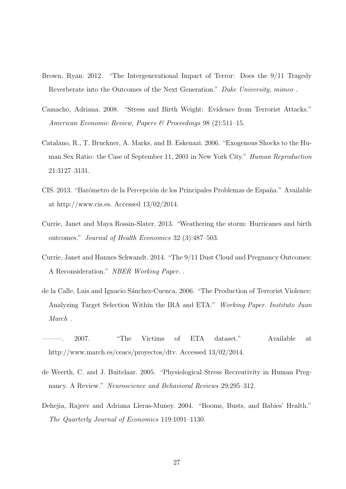- Brown, Ryan. 2012. "The Intergenerational Impact of Terror: Does the 9/11 Tragedy Reverberate into the Outcomes of the Next Generation." Duke University, mimeo .
- Camacho, Adriana. 2008. "Stress and Birth Weight: Evidence from Terrorist Attacks." American Economic Review, Papers & Proceedings 98 (2):511–15.
- Catalano, R., T. Bruckner, A. Marks, and B. Eskenazi. 2006. "Exogenous Shocks to the Human Sex Ratio: the Case of September 11, 2001 in New York City." Human Reproduction 21:3127–3131.
- CIS. 2013. "Barómetro de la Percepción de los Principales Problemas de España." Available at http://www.cis.es. Accessed 13/02/2014.
- Currie, Janet and Maya Rossin-Slater. 2013. "Weathering the storm: Hurricanes and birth outcomes." Journal of Health Economics 32 (3):487–503.
- Currie, Janet and Hannes Schwandt. 2014. "The 9/11 Dust Cloud and Pregnancy Outcomes: A Reconsideration." NBER Working Paper. .
- de la Calle, Luis and Ignacio Sánchez-Cuenca. 2006. "The Production of Terrorist Violence: Analyzing Target Selection Within the IRA and ETA." Working Paper. Instituto Juan March .
- ———. 2007. "The Victims of ETA dataset." Available at http://www.march.es/ceacs/proyectos/dtv. Accessed 13/02/2014.
- de Weerth, C. and J. Buitelaar. 2005. "Physiological Stress Recreativity in Human Pregnancy. A Review." Neuroscience and Behavioral Reviews 29:295–312.
- Dehejia, Rajeev and Adriana Lleras-Muney. 2004. "Booms, Busts, and Babies' Health." The Quarterly Journal of Economics 119:1091–1130.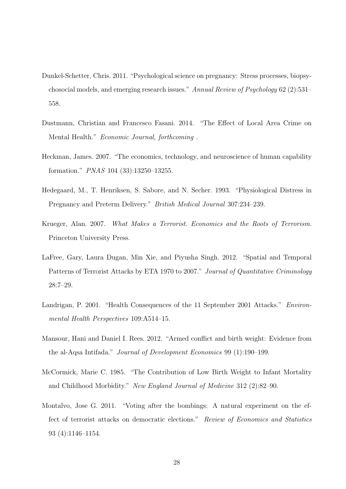- Dunkel-Schetter, Chris. 2011. "Psychological science on pregnancy: Stress processes, biopsychosocial models, and emerging research issues." Annual Review of Psychology 62 (2):531– 558.
- Dustmann, Christian and Francesco Fasani. 2014. "The Effect of Local Area Crime on Mental Health." Economic Journal, forthcoming .
- Heckman, James. 2007. "The economics, technology, and neuroscience of human capability formation." PNAS 104 (33):13250–13255.
- Hedegaard, M., T. Henriksen, S. Sabore, and N. Secher. 1993. "Physiological Distress in Pregnancy and Preterm Delivery." British Medical Journal 307:234–239.
- Krueger, Alan. 2007. What Makes a Terrorist. Economics and the Roots of Terrorism. Princeton University Press.
- LaFree, Gary, Laura Dugan, Min Xie, and Piyusha Singh. 2012. "Spatial and Temporal Patterns of Terrorist Attacks by ETA 1970 to 2007." Journal of Quantitative Criminology 28:7–29.
- Landrigan, P. 2001. "Health Consequences of the 11 September 2001 Attacks." Environmental Health Perspectives 109:A514–15.
- Mansour, Hani and Daniel I. Rees. 2012. "Armed conflict and birth weight: Evidence from the al-Aqsa Intifada." Journal of Development Economics 99 (1):190–199.
- McCormick, Marie C. 1985. "The Contribution of Low Birth Weight to Infant Mortality and Childhood Morbidity." New England Journal of Medicine 312 (2):82–90.
- Montalvo, Jose G. 2011. "Voting after the bombings: A natural experiment on the effect of terrorist attacks on democratic elections." Review of Economics and Statistics 93 (4):1146–1154.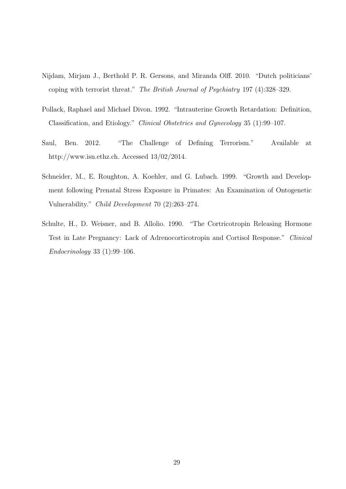- Nijdam, Mirjam J., Berthold P. R. Gersons, and Miranda Olff. 2010. "Dutch politicians' coping with terrorist threat." The British Journal of Psychiatry 197 (4):328–329.
- Pollack, Raphael and Michael Divon. 1992. "Intrauterine Growth Retardation: Definition, Classification, and Etiology." Clinical Obstetrics and Gynecology 35 (1):99–107.
- Saul, Ben. 2012. "The Challenge of Defining Terrorism." Available at http://www.isn.ethz.ch. Accessed 13/02/2014.
- Schneider, M., E. Roughton, A. Koehler, and G. Lubach. 1999. "Growth and Development following Prenatal Stress Exposure in Primates: An Examination of Ontogenetic Vulnerability." Child Development 70 (2):263–274.
- Schulte, H., D. Weisner, and B. Allolio. 1990. "The Cortricotropin Releasing Hormone Test in Late Pregnancy: Lack of Adrenocorticotropin and Cortisol Response." Clinical Endocrinology 33 (1):99–106.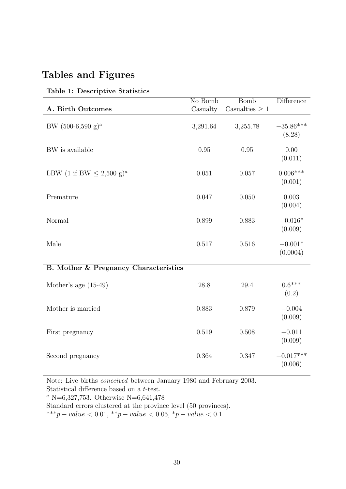## Tables and Figures

| A. Birth Outcomes                         | No Bomb<br>Casualty | <b>Bomb</b><br>Casualties $\geq 1$ | <b>Difference</b>      |
|-------------------------------------------|---------------------|------------------------------------|------------------------|
| BW $(500-6,590 \text{ g})^a$              | 3,291.64            | 3,255.78                           | $-35.86***$<br>(8.28)  |
| BW is available                           | 0.95                | 0.95                               | 0.00<br>(0.011)        |
| LBW (1 if BW $\leq$ 2,500 g) <sup>a</sup> | 0.051               | 0.057                              | $0.006***$<br>(0.001)  |
| Premature                                 | 0.047               | 0.050                              | 0.003<br>(0.004)       |
| Normal                                    | 0.899               | 0.883                              | $-0.016*$<br>(0.009)   |
| Male                                      | 0.517               | 0.516                              | $-0.001*$<br>(0.0004)  |
| B. Mother & Pregnancy Characteristics     |                     |                                    |                        |
| Mother's age $(15-49)$                    | 28.8                | 29.4                               | $0.6***$<br>(0.2)      |
| Mother is married                         | 0.883               | 0.879                              | $-0.004$<br>(0.009)    |
| First pregnancy                           | 0.519               | 0.508                              | $-0.011$<br>(0.009)    |
| Second pregnancy                          | 0.364               | 0.347                              | $-0.017***$<br>(0.006) |

#### Table 1: Descriptive Statistics

Note: Live births conceived between January 1980 and February 2003. Statistical difference based on a t-test.

<sup>a</sup> N=6,327,753. Otherwise N=6,641,478

Standard errors clustered at the province level (50 provinces).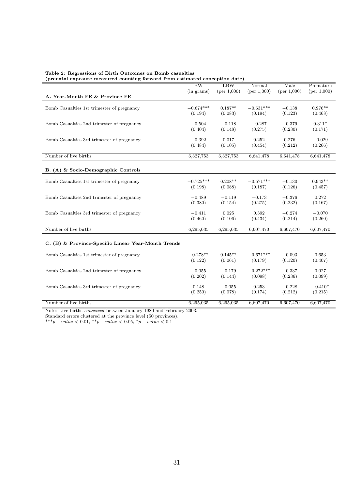| Table 2: Regressions of Birth Outcomes on Bomb casualties                    |  |
|------------------------------------------------------------------------------|--|
| (prenatal exposure measured counting forward from estimated conception date) |  |

|                                                     | $\overline{\rm BW}$    | LBW                  | Normal                 | Male                | Premature            |
|-----------------------------------------------------|------------------------|----------------------|------------------------|---------------------|----------------------|
| A. Year-Month FE & Province FE                      | (in grams)             | (per 1,000)          | (per 1,000)            | (per 1,000)         | (per 1,000)          |
|                                                     |                        |                      |                        |                     |                      |
| Bomb Casualties 1st trimester of pregnancy          | $-0.674***$<br>(0.194) | $0.187**$<br>(0.083) | $-0.631***$<br>(0.194) | $-0.138$<br>(0.123) | $0.976**$<br>(0.468) |
|                                                     |                        |                      |                        |                     |                      |
| Bomb Casualties 2nd trimester of pregnancy          | $-0.504$<br>(0.404)    | $-0.118$<br>(0.148)  | $-0.287$<br>(0.275)    | $-0.379$<br>(0.230) | $0.311*$             |
|                                                     |                        |                      |                        |                     | (0.171)              |
| Bomb Casualties 3rd trimester of pregnancy          | $-0.392$               | 0.017                | 0.252                  | 0.276               | $-0.029$             |
|                                                     | (0.484)                | (0.105)              | (0.454)                | (0.212)             | (0.266)              |
| Number of live births                               | 6,327,753              | 6,327,753            | 6,641,478              | 6,641,478           | 6,641,478            |
|                                                     |                        |                      |                        |                     |                      |
| B. (A) & Socio-Demographic Controls                 |                        |                      |                        |                     |                      |
| Bomb Casualties 1st trimester of pregnancy          | $-0.725***$            | $0.208**$            | $-0.571***$            | $-0.130$            | $0.943**$            |
|                                                     | (0.198)                | (0.088)              | (0.187)                | (0.126)             | (0.457)              |
| Bomb Casualties 2nd trimester of pregnancy          | $-0.489$               | $-0.119$             | $-0.173$               | $-0.376$            | 0.272                |
|                                                     | (0.380)                | (0.154)              | (0.275)                | (0.232)             | (0.167)              |
| Bomb Casualties 3rd trimester of pregnancy          | $-0.411$               | 0.025                | 0.392                  | $-0.274$            | $-0.070$             |
|                                                     | (0.460)                | (0.106)              | (0.434)                | (0.214)             | (0.260)              |
| Number of live births                               | 6,295,035              | 6,295,035            | 6,607,470              | 6,607,470           | 6,607,470            |
|                                                     |                        |                      |                        |                     |                      |
| C. (B) & Province-Specific Linear Year-Month Trends |                        |                      |                        |                     |                      |
| Bomb Casualties 1st trimester of pregnancy          | $-0.278**$             | $0.145**$            | $-0.671***$            | $-0.093$            | 0.653                |
|                                                     | (0.122)                | (0.061)              | (0.179)                | (0.120)             | (0.407)              |
|                                                     | $-0.055$               | $-0.179$             | $-0.272***$            | $-0.337$            | 0.027                |
| Bomb Casualties 2nd trimester of pregnancy          | (0.202)                | (0.144)              | (0.098)                | (0.236)             | (0.099)              |
|                                                     |                        |                      |                        |                     |                      |
| Bomb Casualties 3rd trimester of pregnancy          | 0.148<br>(0.250)       | $-0.055$<br>(0.078)  | 0.253<br>(0.174)       | $-0.228$<br>(0.212) | $-0.410*$<br>(0.215) |
|                                                     |                        |                      |                        |                     |                      |
| Number of live births                               | 6,295,035              | 6,295,035            | 6,607,470              | 6,607,470           | 6,607,470            |

Standard errors clustered at the province level (50 provinces).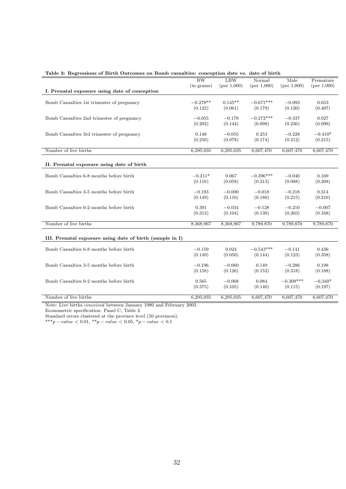|                                                          | $\overline{\rm BW}$ | LBW                 | Normal                 | Male                | Premature        |
|----------------------------------------------------------|---------------------|---------------------|------------------------|---------------------|------------------|
|                                                          | $(in \; grams)$     | (per 1,000)         | (per 1,000)            | (per 1,000)         | (per 1,000)      |
| I. Prenatal exposure using date of conception            |                     |                     |                        |                     |                  |
| Bomb Casualties 1st trimester of pregnancy               | $-0.278**$          | $0.145**$           | $-0.671***$            | $-0.093$            | 0.653            |
|                                                          | (0.122)             | (0.061)             | (0.179)                | (0.120)             | (0.407)          |
|                                                          |                     |                     |                        |                     |                  |
| Bomb Casualties 2nd trimester of pregnancy               | $-0.055$<br>(0.202) | $-0.179$<br>(0.144) | $-0.272***$<br>(0.098) | $-0.337$<br>(0.236) | 0.027<br>(0.099) |
|                                                          |                     |                     |                        |                     |                  |
| Bomb Casualties 3rd trimester of pregnancy               | 0.148               | $-0.055$            | 0.253                  | $-0.228$            | $-0.410*$        |
|                                                          | (0.250)             | (0.078)             | (0.174)                | (0.212)             | (0.215)          |
| Number of live births                                    | 6,295,035           | 6,295,035           | 6,607,470              | 6,607,470           | 6,607,470        |
|                                                          |                     |                     |                        |                     |                  |
| II. Prenatal exposure using date of birth                |                     |                     |                        |                     |                  |
|                                                          |                     |                     |                        |                     |                  |
| Bomb Casualties 6-8 months before birth                  | $-0.211*$           | 0.067               | $-0.396***$            | $-0.040$            | 0.169            |
|                                                          | (0.116)             | (0.058)             | (0.213)                | (0.088)             | (0.208)          |
| Bomb Casualties 3-5 months before birth                  | $-0.193$            | $-0.000$            | $-0.018$               | $-0.218$            | 0.314            |
|                                                          | (0.149)             | (0.116)             | (0.180)                | (0.215)             | (0.210)          |
|                                                          |                     |                     |                        |                     |                  |
| Bomb Casualties 0-2 months before birth                  | 0.391               | $-0.034$            | $-0.128$               | $-0.210$            | $-0.007$         |
|                                                          | (0.312)             | (0.104)             | (0.130)                | (0.203)             | (0.168)          |
| Number of live births                                    | 8,368,967           | 8,368,967           | 9,789,870              | 9,789,870           | 9,789,870        |
|                                                          |                     |                     |                        |                     |                  |
| III. Prenatal exposure using date of birth (sample in I) |                     |                     |                        |                     |                  |
|                                                          |                     |                     |                        |                     |                  |
| Bomb Casualties 6-8 months before birth                  | $-0.159$<br>(0.149) | 0.024<br>(0.050)    | $-0.543***$<br>(0.144) | $-0.141$<br>(0.123) | 0.436<br>(0.358) |
|                                                          |                     |                     |                        |                     |                  |
| Bomb Casualties 3-5 months before birth                  | $-0.196$            | $-0.060$            | 0.149                  | $-0.286$            | 0.198            |
|                                                          | (0.158)             | (0.126)             | (0.152)                | (0.318)             | (0.188)          |
| Bomb Casualties 0-2 months before birth                  | 0.565               | $-0.068$            | 0.084                  | $-0.309***$         | $-0.340*$        |
|                                                          | (0.375)             | (0.105)             | (0.140)                | (0.115)             | (0.197)          |
|                                                          |                     |                     |                        |                     |                  |
| Number of live births                                    | 6,295,035           | 6,295,035           | 6,607,470              | 6,607,470           | 6,607,470        |

#### Table 3: Regressions of Birth Outcomes on Bomb casualties: conception date vs. date of birth

Note: Live births conceived between January 1980 and February 2003.

Econometric specification: Panel C, Table 2.

Standard errors clustered at the province level (50 provinces).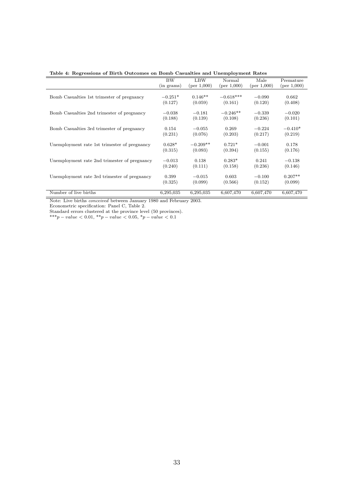|  |  |  |  |  |  |  | Table 4: Regressions of Birth Outcomes on Bomb Casualties and Unemployment Rates |  |
|--|--|--|--|--|--|--|----------------------------------------------------------------------------------|--|
|--|--|--|--|--|--|--|----------------------------------------------------------------------------------|--|

|                                              | BW              | LBW         | Normal      | Male           | Premature   |
|----------------------------------------------|-----------------|-------------|-------------|----------------|-------------|
|                                              | $(in \; grams)$ | (per 1,000) | (per 1,000) | (per $1,000$ ) | (per 1,000) |
|                                              |                 |             |             |                |             |
| Bomb Casualties 1st trimester of pregnancy   | $-0.251*$       | $0.146**$   | $-0.618***$ | $-0.090$       | 0.662       |
|                                              | (0.127)         | (0.059)     | (0.161)     | (0.120)        | (0.408)     |
|                                              |                 |             |             |                |             |
| Bomb Casualties 2nd trimester of pregnancy   | $-0.038$        | $-0.181$    | $-0.246**$  | $-0.339$       | $-0.020$    |
|                                              | (0.188)         | (0.139)     | (0.108)     | (0.236)        | (0.101)     |
| Bomb Casualties 3rd trimester of pregnancy   | 0.154           | $-0.055$    | 0.269       | $-0.224$       | $-0.410*$   |
|                                              |                 |             |             |                |             |
|                                              | (0.231)         | (0.076)     | (0.203)     | (0.217)        | (0.219)     |
| Unemployment rate 1st trimester of pregnancy | $0.628*$        | $-0.209**$  | $0.721*$    | $-0.001$       | 0.178       |
|                                              | (0.315)         | (0.093)     | (0.394)     | (0.155)        | (0.176)     |
|                                              |                 |             |             |                |             |
| Unemployment rate 2nd trimester of pregnancy | $-0.013$        | 0.138       | $0.283*$    | 0.241          | $-0.138$    |
|                                              | (0.240)         | (0.111)     | (0.158)     | (0.236)        | (0.146)     |
|                                              |                 |             |             |                |             |
| Unemployment rate 3rd trimester of pregnancy | 0.399           | $-0.015$    | 0.603       | $-0.100$       | $0.207**$   |
|                                              | (0.325)         | (0.099)     | (0.566)     | (0.152)        | (0.099)     |
|                                              |                 |             |             |                |             |
| Number of live births                        | 6,295,035       | 6,295,035   | 6,607,470   | 6,607,470      | 6,607,470   |

Econometric specification: Panel C, Table 2.

Standard errors clustered at the province level (50 provinces).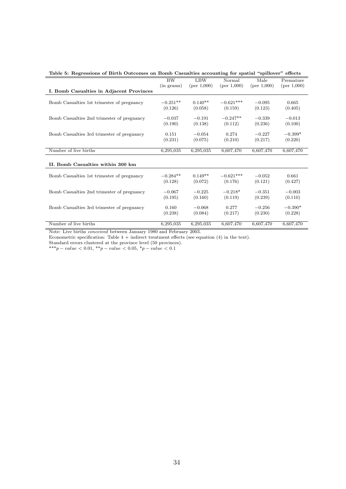| Table 5: Regressions of Birth Outcomes on Bomb Casualties accounting for spatial "spillover" effects |                 |             |             |             |             |  |  |  |
|------------------------------------------------------------------------------------------------------|-----------------|-------------|-------------|-------------|-------------|--|--|--|
|                                                                                                      | BW              | <b>LBW</b>  | Normal      | Male        | Premature   |  |  |  |
|                                                                                                      | $(in \; grams)$ | (per 1,000) | (per 1,000) | (per 1,000) | (per 1,000) |  |  |  |
| I. Bomb Casualties in Adjacent Provinces                                                             |                 |             |             |             |             |  |  |  |
|                                                                                                      |                 |             |             |             |             |  |  |  |
| Bomb Casualties 1st trimester of pregnancy                                                           | $-0.251**$      | $0.140**$   | $-0.621***$ | $-0.095$    | 0.665       |  |  |  |
|                                                                                                      | (0.126)         | (0.058)     | (0.159)     | (0.123)     | (0.405)     |  |  |  |
|                                                                                                      |                 |             |             |             |             |  |  |  |
| Bomb Casualties 2nd trimester of pregnancy                                                           | $-0.037$        | $-0.191$    | $-0.247**$  | $-0.339$    | $-0.013$    |  |  |  |
|                                                                                                      | (0.190)         | (0.138)     | (0.112)     | (0.236)     | (0.100)     |  |  |  |
| Bomb Casualties 3rd trimester of pregnancy                                                           | 0.151           | $-0.054$    | 0.274       | $-0.227$    | $-0.399*$   |  |  |  |
|                                                                                                      | (0.231)         | (0.075)     | (0.210)     | (0.217)     | (0.220)     |  |  |  |
|                                                                                                      |                 |             |             |             |             |  |  |  |
| Number of live births                                                                                | 6,295,035       | 6,295,035   | 6,607,470   | 6,607,470   | 6,607,470   |  |  |  |
|                                                                                                      |                 |             |             |             |             |  |  |  |
|                                                                                                      |                 |             |             |             |             |  |  |  |
| II. Bomb Casualties within 300 km                                                                    |                 |             |             |             |             |  |  |  |
| Bomb Casualties 1st trimester of pregnancy                                                           | $-0.284**$      | $0.149**$   | $-0.621***$ | $-0.052$    | 0.661       |  |  |  |
|                                                                                                      | (0.128)         | (0.072)     | (0.176)     | (0.121)     | (0.427)     |  |  |  |
|                                                                                                      |                 |             |             |             |             |  |  |  |
| Bomb Casualties 2nd trimester of pregnancy                                                           | $-0.067$        | $-0.225$    | $-0.218*$   | $-0.351$    | $-0.003$    |  |  |  |
|                                                                                                      | (0.195)         | (0.160)     | (0.119)     | (0.239)     | (0.110)     |  |  |  |
|                                                                                                      |                 |             |             |             |             |  |  |  |
| Bomb Casualties 3rd trimester of pregnancy                                                           | 0.160           | $-0.068$    | 0.277       | $-0.256$    | $-0.390*$   |  |  |  |
|                                                                                                      | (0.238)         | (0.084)     | (0.217)     | (0.230)     | (0.228)     |  |  |  |
|                                                                                                      |                 |             |             |             |             |  |  |  |
| Number of live births                                                                                | 6,295,035       | 6,295,035   | 6,607,470   | 6,607,470   | 6,607,470   |  |  |  |

Table 5: Regressions of Birth Outcomes on Bomb Casualties accounting for spatial "spillover" effects

Note: Live births *conceived* between January 1980 and February 2003.

Econometric specification: Table  $4 +$  indirect treatment effects (see equation  $(4)$  in the text).

Standard errors clustered at the province level (50 provinces). \*\*\*p – value  $< 0.01$ , \*\*p – value  $< 0.05$ , \*p – value  $< 0.1$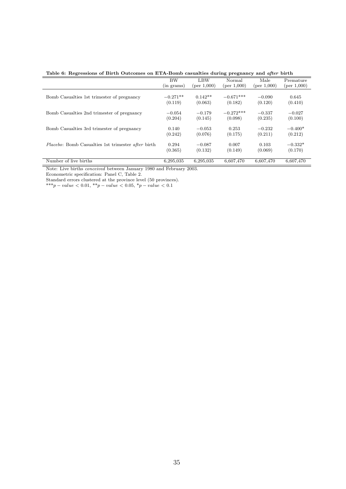Table 6: Regressions of Birth Outcomes on ETA-Bomb casualties during pregnancy and after birth

|                                                    | <b>BW</b>       | <b>LBW</b>  | Normal         | Male        | Premature   |
|----------------------------------------------------|-----------------|-------------|----------------|-------------|-------------|
|                                                    | $(in \; grams)$ | (per 1,000) | (per $1,000$ ) | (per 1,000) | (per 1,000) |
|                                                    |                 |             |                |             |             |
| Bomb Casualties 1st trimester of pregnancy         | $-0.271**$      | $0.142**$   | $-0.671***$    | $-0.090$    | 0.645       |
|                                                    | (0.119)         | (0.063)     | (0.182)        | (0.120)     | (0.410)     |
|                                                    |                 |             |                |             |             |
| Bomb Casualties 2nd trimester of pregnancy         | $-0.054$        | $-0.179$    | $-0.272***$    | $-0.337$    | $-0.027$    |
|                                                    | (0.204)         | (0.145)     | (0.098)        | (0.235)     | (0.100)     |
|                                                    |                 |             |                |             |             |
| Bomb Casualties 3rd trimester of pregnancy         | 0.140           | $-0.053$    | 0.253          | $-0.232$    | $-0.400*$   |
|                                                    | (0.242)         | (0.076)     | (0.175)        | (0.211)     | (0.212)     |
|                                                    |                 |             |                |             |             |
| Placebo: Bomb Casualties 1st trimester after birth | 0.294           | $-0.087$    | 0.007          | 0.103       | $-0.332*$   |
|                                                    | (0.365)         | (0.132)     | (0.149)        | (0.069)     | (0.170)     |
|                                                    |                 |             |                |             |             |
| Number of live births                              | 6,295,035       | 6,295,035   | 6,607,470      | 6,607,470   | 6,607,470   |

Econometric specification: Panel C, Table 2.

Standard errors clustered at the province level (50 provinces).

 $***p-value < 0.01, **p-value < 0.05, *p-value < 0.1$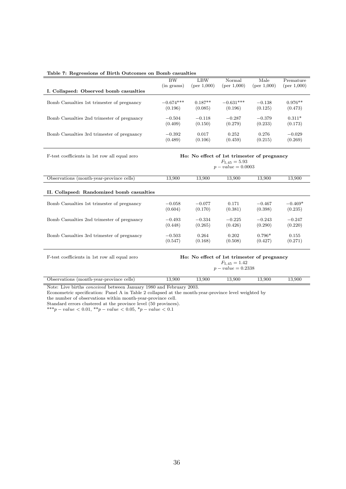| Table 7: Regressions of Birth Outcomes on Bomb casualties |             |             |                    |                                             |             |  |  |  |
|-----------------------------------------------------------|-------------|-------------|--------------------|---------------------------------------------|-------------|--|--|--|
|                                                           | BW          | LBW         | Normal             | Male                                        | Premature   |  |  |  |
|                                                           | (in grams)  | (per 1,000) | (per 1,000)        | (per 1,000)                                 | (per 1,000) |  |  |  |
| I. Collapsed: Observed bomb casualties                    |             |             |                    |                                             |             |  |  |  |
|                                                           |             |             |                    |                                             |             |  |  |  |
| Bomb Casualties 1st trimester of pregnancy                | $-0.674***$ | $0.187**$   | $-0.631***$        | $-0.138$                                    | $0.976**$   |  |  |  |
|                                                           | (0.196)     | (0.085)     | (0.196)            | (0.125)                                     | (0.473)     |  |  |  |
| Bomb Casualties 2nd trimester of pregnancy                | $-0.504$    | $-0.118$    | $-0.287$           | $-0.379$                                    | $0.311*$    |  |  |  |
|                                                           | (0.409)     | (0.150)     | (0.279)            | (0.233)                                     | (0.173)     |  |  |  |
|                                                           |             |             |                    |                                             |             |  |  |  |
| Bomb Casualties 3rd trimester of pregnancy                | $-0.392$    | 0.017       | 0.252              | 0.276                                       | $-0.029$    |  |  |  |
|                                                           | (0.489)     | (0.106)     | (0.459)            | (0.215)                                     | (0.269)     |  |  |  |
| F-test coefficients in 1st row all equal zero             |             |             |                    | Ho: No effect of 1st trimester of pregnancy |             |  |  |  |
|                                                           |             |             | $F_{5,45} = 5.93$  |                                             |             |  |  |  |
|                                                           |             |             | $p-value = 0.0003$ |                                             |             |  |  |  |
|                                                           |             |             |                    |                                             |             |  |  |  |
| Observations (month-year-province cells)                  | 13,900      | 13,900      | 13,900             | 13,900                                      | 13,900      |  |  |  |
| II. Collapsed: Randomized bomb casualties                 |             |             |                    |                                             |             |  |  |  |
| Bomb Casualties 1st trimester of pregnancy                | $-0.058$    | $-0.077$    | 0.171              | $-0.467$                                    | $-0.469*$   |  |  |  |
|                                                           | (0.604)     | (0.170)     | (0.381)            | (0.398)                                     | (0.235)     |  |  |  |
|                                                           |             |             |                    |                                             |             |  |  |  |
| Bomb Casualties 2nd trimester of pregnancy                | $-0.493$    | $-0.334$    | $-0.225$           | $-0.243$                                    | $-0.247$    |  |  |  |
|                                                           | (0.448)     | (0.265)     | (0.426)            | (0.290)                                     | (0.220)     |  |  |  |
|                                                           | $-0.503$    | 0.264       | 0.202              | $0.796*$                                    | 0.155       |  |  |  |
| Bomb Casualties 3rd trimester of pregnancy                | (0.547)     | (0.168)     | (0.508)            | (0.427)                                     | (0.271)     |  |  |  |
|                                                           |             |             |                    |                                             |             |  |  |  |
|                                                           |             |             |                    |                                             |             |  |  |  |

F-test coefficients in 1st row all equal zero **Ho: No effect of 1st trimester of pregnancy** 

 $F_{5,45} = 1.42$  $p-value = 0.2338$ 

| Observations<br>month-year-province)<br>cells | 13,900 | 13.900 | 3.900 | 13.900 | 13,900 |
|-----------------------------------------------|--------|--------|-------|--------|--------|
| $\sim$ $\sim$<br>.<br>$-$<br>.                | .      | -----  |       |        |        |

Note: Live births conceived between January 1980 and February 2003.

Econometric specification: Panel A in Table 2 collapsed at the month-year-province level weighted by

the number of observations within month-year-province cell.

Standard errors clustered at the province level (50 provinces). \*\*\*p – value  $< 0.01,$  \*\*p – value  $< 0.05,$  \*p – value  $< 0.1$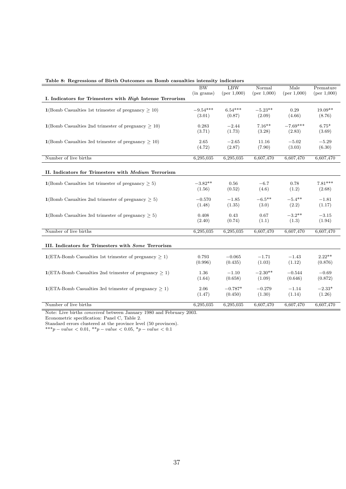| Table 8: Regressions of Birth Outcomes on Bomb casualties intensity indicators |                     |             |             |             |             |
|--------------------------------------------------------------------------------|---------------------|-------------|-------------|-------------|-------------|
|                                                                                | $\overline{\rm BW}$ | <b>LBW</b>  | Normal      | Male        | Premature   |
|                                                                                | $(in \; grams)$     | (per 1,000) | (per 1,000) | (per 1,000) | (per 1,000) |
| I. Indicators for Trimesters with High Intense Terrorism                       |                     |             |             |             |             |
| $1(Bomb$ Casualties 1st trimester of pregnancy $> 10$ )                        | $-9.54***$          | $6.54***$   | $-5.23**$   | 0.29        | $19.09**$   |
|                                                                                | (3.01)              | (0.87)      | (2.09)      | (4.66)      | (8.76)      |
|                                                                                |                     |             |             |             |             |
| $1(Bomb$ Casualties 2nd trimester of pregnancy $> 10$ )                        | 0.283               | $-2.44$     | $7.16***$   | $-7.69***$  | $6.75*$     |
|                                                                                | (3.71)              | (1.73)      | (3.28)      | (2.83)      | (3.69)      |
|                                                                                |                     |             |             |             |             |
| $1(Bomb$ Casualties 3rd trimester of pregnancy $> 10$ )                        | 2.65                | $-2.65$     | 11.16       | $-5.02$     | $-5.29$     |
|                                                                                | (4.72)              | (2.87)      | (7.90)      | (3.03)      | (6.30)      |
|                                                                                |                     |             |             |             |             |
| Number of live births                                                          | 6,295,035           | 6,295,035   | 6,607,470   | 6,607,470   | 6,607,470   |
|                                                                                |                     |             |             |             |             |
| II. Indicators for Trimesters with <i>Medium</i> Terrorism                     |                     |             |             |             |             |
|                                                                                |                     |             |             |             |             |
| $1$ (Bomb Casualties 1st trimester of pregnancy $> 5$ )                        | $-3.82**$           | 0.56        | $-6.7$      | 0.78        | $7.81***$   |
|                                                                                | (1.56)              | (0.52)      | (4.6)       | (1.2)       | (2.68)      |
|                                                                                |                     |             |             |             |             |
| 1(Bomb Casualties 2nd trimester of pregnancy $\geq$ 5)                         | $-0.570$            | $-1.85$     | $-6.5***$   | $-5.4***$   | $-1.81$     |
|                                                                                | (1.48)              | (1.35)      | (3.0)       | (2.2)       | (1.17)      |
|                                                                                |                     |             |             |             |             |
| $1$ (Bomb Casualties 3rd trimester of pregnancy $> 5$ )                        | 0.408               | 0.43        | 0.67        | $-3.2**$    | $-3.15$     |
|                                                                                | (2.40)              | (0.74)      | (1.1)       | (1.3)       | (1.94)      |
|                                                                                |                     |             |             |             |             |
| Number of live births                                                          | 6,295,035           | 6,295,035   | 6,607,470   | 6,607,470   | 6,607,470   |
|                                                                                |                     |             |             |             |             |
| III. Indicators for Trimesters with Some Terrorism                             |                     |             |             |             |             |
|                                                                                |                     |             |             |             |             |
| $1(ETA-Bomb$ Casualties 1st trimester of pregnancy $> 1$ )                     | 0.793               | $-0.065$    | $-1.71$     | $-1.43$     | $2.22**$    |
|                                                                                | (0.996)             | (0.435)     | (1.03)      | (1.12)      | (0.876)     |
|                                                                                |                     |             |             |             |             |
| $1(ETA-Bomb$ Casualties 2nd trimester of pregnancy $> 1$ )                     | 1.36                | $-1.10$     | $-2.30**$   | $-0.544$    | $-0.69$     |
|                                                                                | (1.64)              | (0.658)     | (1.09)      | (0.646)     | (0.872)     |
|                                                                                |                     |             |             |             |             |
| $1(ETA-Bomb$ Casualties 3rd trimester of pregnancy $> 1$ )                     | 2.06                | $-0.787*$   | $-0.279$    | $-1.14$     | $-2.33*$    |
|                                                                                | (1.47)              | (0.450)     | (1.30)      | (1.14)      | (1.26)      |
|                                                                                |                     |             |             |             |             |
| Number of live births                                                          | 6,295,035           | 6,295,035   | 6,607,470   | 6,607,470   | 6,607,470   |
|                                                                                |                     |             |             |             |             |

Table 8: Regressions of Birth Outcomes on Bomb casualties intensity indicators

Econometric specification: Panel C, Table 2.

Standard errors clustered at the province level (50 provinces).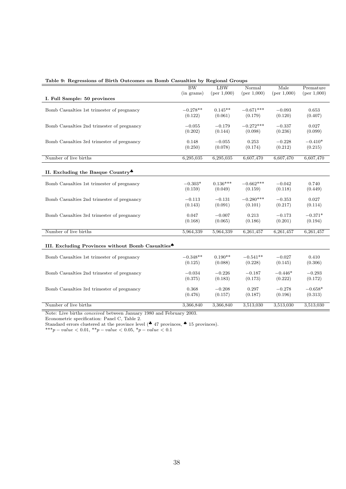|                                                               | $\overline{\rm BW}$  | <b>LBW</b>          | Normal                 | Male                | Premature            |
|---------------------------------------------------------------|----------------------|---------------------|------------------------|---------------------|----------------------|
|                                                               | $(in \text{ grams})$ | (per 1,000)         | (per 1,000)            | (per 1,000)         | (per 1,000)          |
| I. Full Sample: 50 provinces                                  |                      |                     |                        |                     |                      |
| Bomb Casualties 1st trimester of pregnancy                    | $-0.278**$           | $0.145**$           | $-0.671***$            | $-0.093$            | 0.653                |
|                                                               | (0.122)              | (0.061)             | (0.179)                | (0.120)             | (0.407)              |
|                                                               |                      |                     |                        |                     |                      |
| Bomb Casualties 2nd trimester of pregnancy                    | $-0.055$<br>(0.202)  | $-0.179$<br>(0.144) | $-0.272***$<br>(0.098) | $-0.337$<br>(0.236) | 0.027<br>(0.099)     |
|                                                               |                      |                     |                        |                     |                      |
| Bomb Casualties 3rd trimester of pregnancy                    | 0.148                | $-0.055$            | 0.253                  | $-0.228$            | $-0.410*$            |
|                                                               | (0.250)              | (0.078)             | (0.174)                | (0.212)             | (0.215)              |
| Number of live births                                         | 6,295,035            | 6,295,035           | 6,607,470              | 6,607,470           | 6,607,470            |
|                                                               |                      |                     |                        |                     |                      |
|                                                               |                      |                     |                        |                     |                      |
| II. Excluding the Basque Country.                             |                      |                     |                        |                     |                      |
| Bomb Casualties 1st trimester of pregnancy                    | $-0.303*$            | $0.136***$          | $-0.662***$            | $-0.042$            | 0.740                |
|                                                               | (0.159)              | (0.049)             | (0.159)                | (0.118)             | (0.449)              |
|                                                               |                      |                     |                        |                     |                      |
| Bomb Casualties 2nd trimester of pregnancy                    | $-0.113$             | $-0.131$            | $-0.280***$            | $-0.353$            | 0.027                |
|                                                               | (0.143)              | (0.091)             | (0.101)                | (0.217)             | (0.114)              |
| Bomb Casualties 3rd trimester of pregnancy                    | 0.047                | $-0.007$            | 0.213                  | $-0.173$            | $-0.371*$            |
|                                                               | (0.168)              | (0.065)             | (0.186)                | (0.201)             | (0.194)              |
|                                                               |                      |                     |                        |                     |                      |
| Number of live births                                         | 5,964,339            | 5,964,339           | 6,261,457              | 6,261,457           | 6,261,457            |
|                                                               |                      |                     |                        |                     |                      |
| III. Excluding Provinces without Bomb Casualties <sup>4</sup> |                      |                     |                        |                     |                      |
|                                                               |                      |                     |                        |                     |                      |
| Bomb Casualties 1st trimester of pregnancy                    | $-0.348**$           | $0.190**$           | $-0.541**$             | $-0.027$            | 0.410                |
|                                                               | (0.125)              | (0.088)             | (0.228)                | (0.145)             | (0.306)              |
| Bomb Casualties 2nd trimester of pregnancy                    | $-0.034$             | $-0.226$            | $-0.187$               | $-0.446*$           | $-0.293$             |
|                                                               | (0.375)              | (0.183)             | (0.173)                | (0.222)             | (0.172)              |
|                                                               |                      |                     |                        |                     |                      |
| Bomb Casualties 3rd trimester of pregnancy                    | 0.368<br>(0.476)     | $-0.208$<br>(0.157) | 0.297<br>(0.187)       | $-0.278$<br>(0.196) | $-0.658*$<br>(0.313) |
|                                                               |                      |                     |                        |                     |                      |
| Number of live births                                         | 3,366,840            | 3,366,840           | 3,513,030              | 3,513,030           | 3,513,030            |

Table 9: Regressions of Birth Outcomes on Bomb Casualties by Regional Groups

Econometric specification: Panel C, Table 2.

Standard errors clustered at the province level ( $\clubsuit$  47 provinces,  $\spadesuit$  15 provinces).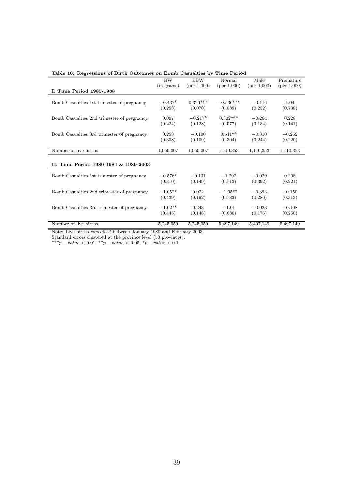|                                            | <b>BW</b>       | <b>LBW</b>  | Normal      | Male        | Premature   |
|--------------------------------------------|-----------------|-------------|-------------|-------------|-------------|
| I. Time Period 1985-1988                   | $(in \; grams)$ | (per 1,000) | (per 1,000) | (per 1,000) | (per 1,000) |
|                                            |                 |             |             |             |             |
| Bomb Casualties 1st trimester of pregnancy | $-0.437*$       | $0.326***$  | $-0.536***$ | $-0.116$    | 1.04        |
|                                            | (0.253)         | (0.070)     | (0.089)     | (0.252)     | (0.738)     |
|                                            | 0.007           | $-0.217*$   | $0.302***$  | $-0.264$    | 0.228       |
| Bomb Casualties 2nd trimester of pregnancy | (0.224)         | (0.128)     | (0.077)     | (0.184)     | (0.141)     |
|                                            |                 |             |             |             |             |
| Bomb Casualties 3rd trimester of pregnancy | 0.253           | $-0.100$    | $0.641**$   | $-0.310$    | $-0.262$    |
|                                            | (0.308)         | (0.109)     | (0.304)     | (0.244)     | (0.220)     |
|                                            |                 |             |             |             |             |
| Number of live births                      | 1,050,007       | 1,050,007   | 1,110,353   | 1,110,353   | 1,110,353   |
|                                            |                 |             |             |             |             |
| II. Time Period 1980-1984 & 1989-2003      |                 |             |             |             |             |
|                                            |                 |             |             |             |             |
| Bomb Casualties 1st trimester of pregnancy | $-0.576*$       | $-0.131$    | $-1.29*$    | $-0.029$    | 0.208       |
|                                            | (0.310)         | (0.149)     | (0.713)     | (0.392)     | (0.221)     |
| Bomb Casualties 2nd trimester of pregnancy | $-1.05**$       | 0.022       | $-1.95**$   | $-0.393$    | $-0.150$    |
|                                            | (0.439)         | (0.192)     | (0.783)     | (0.286)     | (0.313)     |
|                                            |                 |             |             |             |             |
| Bomb Casualties 3rd trimester of pregnancy | $-1.02**$       | 0.243       | $-1.01$     | $-0.023$    | $-0.108$    |
|                                            | (0.445)         | (0.148)     | (0.680)     | (0.176)     | (0.250)     |
|                                            |                 |             |             |             |             |
| Number of live births                      | 5,245,059       | 5,245,059   | 5,497,149   | 5,497,149   | 5,497,149   |

Table 10: Regressions of Birth Outcomes on Bomb Casualties by Time Period

Standard errors clustered at the province level (50 provinces).

 $***p-value < 0.01, **p-value < 0.05, *p-value < 0.1$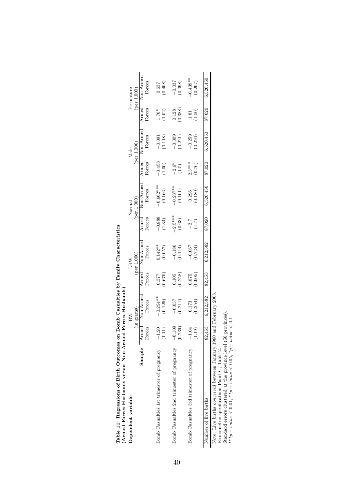| (Armed-Forces Husbands versus Non-Armed)<br>Table 11: Regressions of Birth Outcomes on                                                                                                                                                                         |                      | Forces Husbands  |         | Bomb Casualties by Family Characteristics |           |                                       |          |                               |         |                          |
|----------------------------------------------------------------------------------------------------------------------------------------------------------------------------------------------------------------------------------------------------------------|----------------------|------------------|---------|-------------------------------------------|-----------|---------------------------------------|----------|-------------------------------|---------|--------------------------|
| Dependent variable                                                                                                                                                                                                                                             |                      | (in grams)<br>BW |         | (per 1,000)<br><b>NBT</b>                 |           | $($ per $1.000$<br>Norma <sup>®</sup> |          | $(\text{per } 1,000)$<br>Male |         | Premature<br>(per 1,000) |
|                                                                                                                                                                                                                                                                | Sample Armed         | Non-Armed        | Armed   | Non-Armed                                 | Armed     | Non-Armed                             | Armed    | Non-Armed                     | Armed   | Non-Armed                |
|                                                                                                                                                                                                                                                                | Forces               | Forces           | Forces  | Forces                                    | Forces    | Forces                                | Forces   | Forces                        | Forces  | Forces                   |
| Bomb Casualties 1st trimester of pregnancy                                                                                                                                                                                                                     | 20                   | $-0.254***$      | (0.670) | $0.142**$                                 | $-0.888$  | $-0.662***$                           | $-0.458$ | (0.118)                       | $1.76*$ | (0.408)                  |
|                                                                                                                                                                                                                                                                | (1.11)               | (0.125)          | 0.377   | (0.057)                                   | (1.34)    | (0.166)                               | (1.00)   | $-0.091$                      | (1.02)  | 0.637                    |
| Bomb Casualties 2nd trimester of pregnancy                                                                                                                                                                                                                     | $-0.109$             | $-0.037$         | (0.258) | $-0.186$                                  | $-2.5***$ | $-0.237***$                           | $-2.6*$  | $-0.309$                      | (0.388) | $-0.037$                 |
|                                                                                                                                                                                                                                                                | (0.739)              | (0.211)          | 0.105   | (0.144)                                   | (0.63)    | (0.101)                               | (1.5)    | (0.221)                       | 0.128   | (0.098)                  |
| Bomb Casualties 3rd trimester of pregnancy                                                                                                                                                                                                                     | $-1.04$              | (0.254)          | (0.905) | $-0.067$                                  | $-2.7$    | (0.180)                               | $2.3***$ | $-0.259$                      | (1.50)  | $-0.439**$               |
|                                                                                                                                                                                                                                                                | (1.19)               | 0.173            | 0.875   | (0.724)                                   | (1.7)     | 0.296                                 | (0.76)   | (0.226)                       | 1.81    | (0.207)                  |
| Number of live births                                                                                                                                                                                                                                          | 82,453               | 6,212,582        | 82,453  | 6,212,582                                 | 87,020    | 6,520,450                             | 87,020   | 6,520,450                     | 87,020  | 6,520,450                |
| Note: Live births <i>conceived</i> between January 1980 and February 2003<br>Standard errors clustered at the province level (50 provinces).<br>*** $p - value < 0.01$ , ** $p - value < 0.05$ , * $p - value$<br>Econometric specification: Panel C, Table 2. | $\frac{1}{\sqrt{2}}$ |                  |         |                                           |           |                                       |          |                               |         |                          |

| i                                                                                                                                                                                                                                   |               |
|-------------------------------------------------------------------------------------------------------------------------------------------------------------------------------------------------------------------------------------|---------------|
| is a series of the contract of the contract of the contract of the contract of the contract of the contract of the contract of the contract of the contract of the contract of the contract of the contract of the contract of<br>ļ |               |
|                                                                                                                                                                                                                                     |               |
|                                                                                                                                                                                                                                     |               |
|                                                                                                                                                                                                                                     |               |
|                                                                                                                                                                                                                                     |               |
|                                                                                                                                                                                                                                     |               |
|                                                                                                                                                                                                                                     |               |
| <br> <br> <br> <br>I                                                                                                                                                                                                                | l             |
|                                                                                                                                                                                                                                     |               |
|                                                                                                                                                                                                                                     | $\frac{1}{1}$ |
| I                                                                                                                                                                                                                                   |               |
|                                                                                                                                                                                                                                     |               |
|                                                                                                                                                                                                                                     |               |
|                                                                                                                                                                                                                                     | ׀<br>ا        |
| )<br>I<br>ׇ֚֚֘֝֬                                                                                                                                                                                                                    |               |
|                                                                                                                                                                                                                                     | I             |
| ۱                                                                                                                                                                                                                                   |               |
|                                                                                                                                                                                                                                     |               |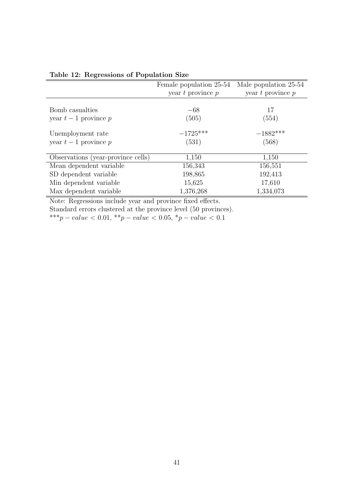|                                    | Female population 25-54 | Male population 25-54 |
|------------------------------------|-------------------------|-----------------------|
|                                    | year $t$ province $p$   | year $t$ province $p$ |
|                                    |                         |                       |
| Bomb casualties                    | $-68$                   | 17                    |
| year $t-1$ province p              | (505)                   | (554)                 |
| Unemployment rate                  | $-1725***$              | $-1882***$            |
| year $t-1$ province $p$            | (531)                   | (568)                 |
| Observations (year-province cells) | 1,150                   | 1,150                 |
| Mean dependent variable            | 156,343                 | 156,551               |
| SD dependent variable              | 198,865                 | 192,413               |
| Min dependent variable             | 15,625                  | 17,610                |
| Max dependent variable             | 1,376,268               | 1,334,073             |

Table 12: Regressions of Population Size

Note: Regressions include year and province fixed effects.

Standard errors clustered at the province level (50 provinces).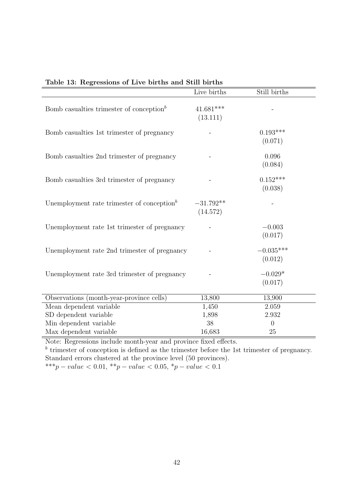|                                                        | Live births             | Still births           |
|--------------------------------------------------------|-------------------------|------------------------|
| Bomb casualties trimester of conception <sup>b</sup>   | $41.681***$<br>(13.111) |                        |
| Bomb casualties 1st trimester of pregnancy             |                         | $0.193***$<br>(0.071)  |
| Bomb casualties 2nd trimester of pregnancy             |                         | 0.096<br>(0.084)       |
| Bomb casualties 3rd trimester of pregnancy             |                         | $0.152***$<br>(0.038)  |
| Unemployment rate trimester of conception <sup>b</sup> | $-31.792**$<br>(14.572) |                        |
| Unemployment rate 1st trimester of pregnancy           |                         | $-0.003$<br>(0.017)    |
| Unemployment rate 2nd trimester of pregnancy           |                         | $-0.035***$<br>(0.012) |
| Unemployment rate 3rd trimester of pregnancy           |                         | $-0.029*$<br>(0.017)   |
| Observations (month-year-province cells)               | 13,800                  | 13,900                 |
| Mean dependent variable                                | 1,450                   | 2.059                  |
| SD dependent variable                                  | 1,898                   | 2.932                  |
| Min dependent variable                                 | 38                      | $\overline{0}$         |
| Max dependent variable                                 | 16,683                  | 25                     |

## Table 13: Regressions of Live births and Still births

Note: Regressions include month-year and province fixed effects.

 $b$  trimester of conception is defined as the trimester before the 1st trimester of pregnancy. Standard errors clustered at the province level (50 provinces).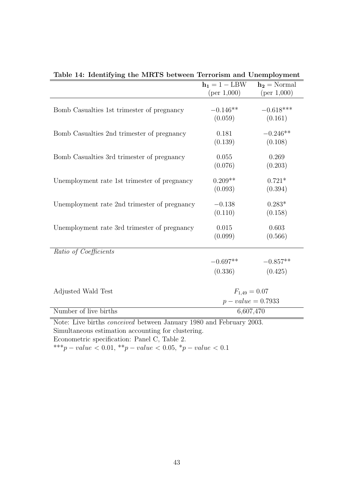| able 11. Rechen, his the mitted between ferrorion and enomployment         |                 |                    |
|----------------------------------------------------------------------------|-----------------|--------------------|
|                                                                            | $h_1 = 1 - LBW$ | $h_2 =$ Normal     |
|                                                                            | (per 1,000)     | (per 1,000)        |
|                                                                            |                 |                    |
| Bomb Casualties 1st trimester of pregnancy                                 | $-0.146**$      | $-0.618***$        |
|                                                                            | (0.059)         | (0.161)            |
| Bomb Casualties 2nd trimester of pregnancy                                 | 0.181           | $-0.246**$         |
|                                                                            | (0.139)         | (0.108)            |
| Bomb Casualties 3rd trimester of pregnancy                                 | 0.055           | 0.269              |
|                                                                            | (0.076)         | (0.203)            |
| Unemployment rate 1st trimester of pregnancy                               | $0.209**$       | $0.721*$           |
|                                                                            | (0.093)         | (0.394)            |
| Unemployment rate 2nd trimester of pregnancy                               | $-0.138$        | $0.283*$           |
|                                                                            | (0.110)         | (0.158)            |
| Unemployment rate 3rd trimester of pregnancy                               | 0.015           | 0.603              |
|                                                                            | (0.099)         | (0.566)            |
| Ratio of Coefficients                                                      |                 |                    |
|                                                                            | $-0.697**$      | $-0.857**$         |
|                                                                            | (0.336)         | (0.425)            |
|                                                                            |                 |                    |
| Adjusted Wald Test                                                         |                 | $F_{1,49} = 0.07$  |
|                                                                            |                 | $p-value = 0.7933$ |
| Number of live births                                                      |                 | 6,607,470          |
| Note: Live births <i>conceived</i> between January 1980 and February 2003. |                 |                    |
| Simultaneous estimation accounting for clustering.                         |                 |                    |
| Econometric specification: Panel C, Table 2.                               |                 |                    |

Table 14: Identifying the MRTS between Terrorism and Unemployment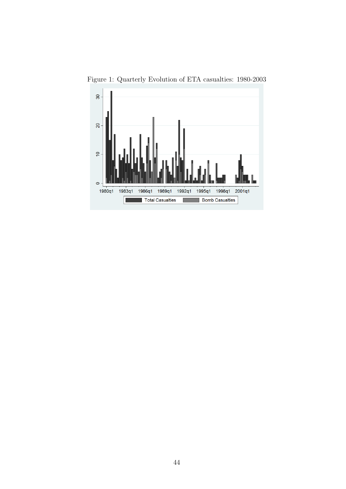

Figure 1: Quarterly Evolution of ETA casualties: 1980-2003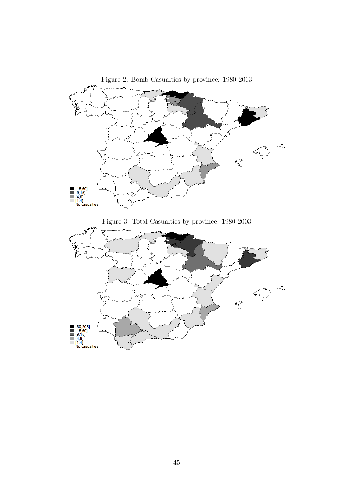

Figure 2: Bomb Casualties by province: 1980-2003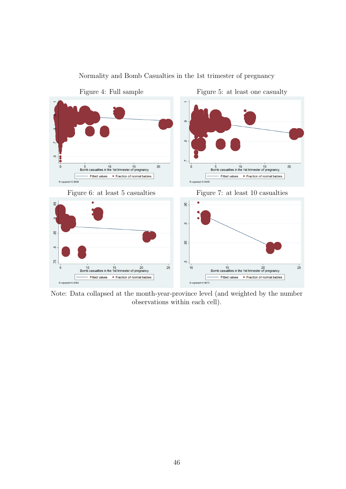

Normality and Bomb Casualties in the 1st trimester of pregnancy

Note: Data collapsed at the month-year-province level (and weighted by the number observations within each cell).